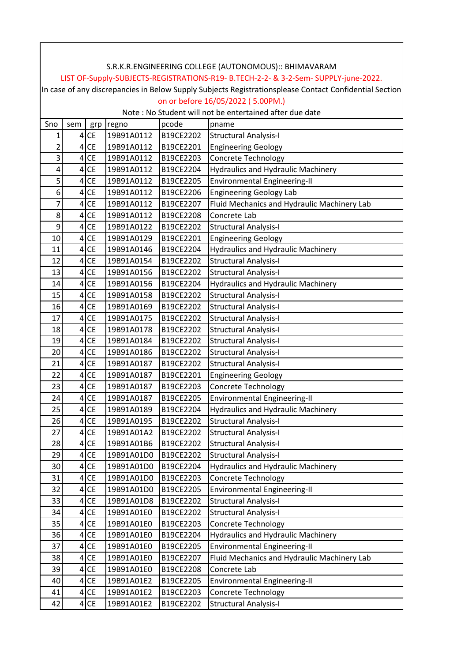|        | S.R.K.R.ENGINEERING COLLEGE (AUTONOMOUS):: BHIMAVARAM                                                                                       |                        |                          |                        |                                                             |  |  |  |  |  |  |
|--------|---------------------------------------------------------------------------------------------------------------------------------------------|------------------------|--------------------------|------------------------|-------------------------------------------------------------|--|--|--|--|--|--|
|        | LIST OF-Supply-SUBJECTS-REGISTRATIONS-R19- B.TECH-2-2- & 3-2-Sem- SUPPLY-june-2022.                                                         |                        |                          |                        |                                                             |  |  |  |  |  |  |
|        | In case of any discrepancies in Below Supply Subjects Registrationsplease Contact Confidential Section<br>on or before 16/05/2022 (5.00PM.) |                        |                          |                        |                                                             |  |  |  |  |  |  |
|        | Note : No Student will not be entertained after due date                                                                                    |                        |                          |                        |                                                             |  |  |  |  |  |  |
|        |                                                                                                                                             |                        |                          |                        |                                                             |  |  |  |  |  |  |
| Sno    | sem                                                                                                                                         | grp                    | regno                    | pcode                  | pname                                                       |  |  |  |  |  |  |
| 1<br>2 | 4 <sup>1</sup><br>$\overline{4}$                                                                                                            | <b>CE</b><br><b>CE</b> | 19B91A0112               | B19CE2202<br>B19CE2201 | <b>Structural Analysis-I</b>                                |  |  |  |  |  |  |
|        |                                                                                                                                             |                        | 19B91A0112               |                        | <b>Engineering Geology</b>                                  |  |  |  |  |  |  |
| 3<br>4 | $\overline{4}$                                                                                                                              | <b>CE</b><br>$4$ CE    | 19B91A0112               | B19CE2203<br>B19CE2204 | Concrete Technology                                         |  |  |  |  |  |  |
|        |                                                                                                                                             |                        | 19B91A0112               |                        | <b>Hydraulics and Hydraulic Machinery</b>                   |  |  |  |  |  |  |
| 5<br>6 | $\overline{4}$<br>4 <sup>1</sup>                                                                                                            | <b>CE</b><br>CE        | 19B91A0112<br>19B91A0112 | B19CE2205<br>B19CE2206 | Environmental Engineering-II                                |  |  |  |  |  |  |
| 7      | $\vert 4 \vert$                                                                                                                             | CE                     | 19B91A0112               | B19CE2207              | <b>Engineering Geology Lab</b>                              |  |  |  |  |  |  |
|        | $\vert 4 \vert$                                                                                                                             |                        | 19B91A0112               |                        | Fluid Mechanics and Hydraulic Machinery Lab<br>Concrete Lab |  |  |  |  |  |  |
| 8<br>9 |                                                                                                                                             | <b>CE</b><br><b>CE</b> |                          | B19CE2208              |                                                             |  |  |  |  |  |  |
|        | 4 <sup>1</sup>                                                                                                                              |                        | 19B91A0122               | B19CE2202              | <b>Structural Analysis-I</b>                                |  |  |  |  |  |  |
| 10     | 4 <sup>1</sup>                                                                                                                              | <b>CE</b>              | 19B91A0129<br>19B91A0146 | B19CE2201              | <b>Engineering Geology</b>                                  |  |  |  |  |  |  |
| 11     | $\vert 4 \vert$                                                                                                                             | <b>CE</b>              |                          | B19CE2204              | <b>Hydraulics and Hydraulic Machinery</b>                   |  |  |  |  |  |  |
| 12     | $\overline{4}$                                                                                                                              | <b>CE</b>              | 19B91A0154               | B19CE2202              | <b>Structural Analysis-I</b>                                |  |  |  |  |  |  |
| 13     |                                                                                                                                             | $4$ CE                 | 19B91A0156               | B19CE2202              | <b>Structural Analysis-I</b>                                |  |  |  |  |  |  |
| 14     | $\overline{4}$                                                                                                                              | <b>CE</b>              | 19B91A0156               | B19CE2204              | <b>Hydraulics and Hydraulic Machinery</b>                   |  |  |  |  |  |  |
| 15     | 4 <sup>1</sup>                                                                                                                              | <b>CE</b>              | 19B91A0158               | B19CE2202              | <b>Structural Analysis-I</b>                                |  |  |  |  |  |  |
| 16     | $\vert 4 \vert$                                                                                                                             | <b>CE</b>              | 19B91A0169               | B19CE2202              | <b>Structural Analysis-I</b>                                |  |  |  |  |  |  |
| 17     | $\vert 4 \vert$                                                                                                                             | <b>CE</b>              | 19B91A0175               | B19CE2202              | <b>Structural Analysis-I</b>                                |  |  |  |  |  |  |
| 18     |                                                                                                                                             | $4$ CE                 | 19B91A0178               | B19CE2202              | <b>Structural Analysis-I</b>                                |  |  |  |  |  |  |
| 19     | $\vert 4 \vert$                                                                                                                             | <b>CE</b>              | 19B91A0184               | B19CE2202              | <b>Structural Analysis-I</b>                                |  |  |  |  |  |  |
| 20     | $\vert 4 \vert$                                                                                                                             | <b>CE</b>              | 19B91A0186               | B19CE2202              | <b>Structural Analysis-I</b>                                |  |  |  |  |  |  |
| 21     | $\vert 4 \vert$                                                                                                                             | CE                     | 19B91A0187               | B19CE2202              | <b>Structural Analysis-I</b>                                |  |  |  |  |  |  |
| 22     | 4 <sup>1</sup>                                                                                                                              | <b>CE</b>              | 19B91A0187               | B19CE2201              | <b>Engineering Geology</b>                                  |  |  |  |  |  |  |
| 23     |                                                                                                                                             | $4$ CE                 | 19B91A0187               | B19CE2203              | <b>Concrete Technology</b>                                  |  |  |  |  |  |  |
| 24     | $\vert 4 \vert$                                                                                                                             | <b>CE</b>              | 19B91A0187               | B19CE2205              | Environmental Engineering-II                                |  |  |  |  |  |  |
| 25     | $\overline{4}$                                                                                                                              | CE                     | 19B91A0189               | B19CE2204              | Hydraulics and Hydraulic Machinery                          |  |  |  |  |  |  |
| 26     | $\overline{4}$                                                                                                                              | <b>CE</b>              | 19B91A0195               | B19CE2202              | <b>Structural Analysis-I</b>                                |  |  |  |  |  |  |
| 27     | $\vert 4 \vert$                                                                                                                             | <b>CE</b>              | 19B91A01A2               | B19CE2202              | <b>Structural Analysis-I</b>                                |  |  |  |  |  |  |
| 28     | $\vert 4 \vert$                                                                                                                             | <b>CE</b>              | 19B91A01B6               | B19CE2202              | <b>Structural Analysis-I</b>                                |  |  |  |  |  |  |
| 29     |                                                                                                                                             | $4$ CE                 | 19B91A01D0               | B19CE2202              | <b>Structural Analysis-I</b>                                |  |  |  |  |  |  |
| 30     |                                                                                                                                             | $4$ CE                 | 19B91A01D0               | B19CE2204              | Hydraulics and Hydraulic Machinery                          |  |  |  |  |  |  |
| 31     | $\vert 4 \vert$                                                                                                                             | <b>CE</b>              | 19B91A01D0               | B19CE2203              | <b>Concrete Technology</b>                                  |  |  |  |  |  |  |
| 32     |                                                                                                                                             | $4$ CE                 | 19B91A01D0               | B19CE2205              | Environmental Engineering-II                                |  |  |  |  |  |  |
| 33     | $\vert 4 \vert$                                                                                                                             | CE                     | 19B91A01D8               | B19CE2202              | <b>Structural Analysis-I</b>                                |  |  |  |  |  |  |
| 34     |                                                                                                                                             | $4$ CE                 | 19B91A01E0               | B19CE2202              | <b>Structural Analysis-I</b>                                |  |  |  |  |  |  |
| 35     |                                                                                                                                             | $4$ CE                 | 19B91A01E0               | B19CE2203              | Concrete Technology                                         |  |  |  |  |  |  |
| 36     |                                                                                                                                             | $4$ CE                 | 19B91A01E0               | B19CE2204              | <b>Hydraulics and Hydraulic Machinery</b>                   |  |  |  |  |  |  |
| 37     |                                                                                                                                             | $4$ CE                 | 19B91A01E0               | B19CE2205              | Environmental Engineering-II                                |  |  |  |  |  |  |
| 38     | 4                                                                                                                                           | CE                     | 19B91A01E0               | B19CE2207              | Fluid Mechanics and Hydraulic Machinery Lab                 |  |  |  |  |  |  |
| 39     |                                                                                                                                             | $4$ CE                 | 19B91A01E0               | B19CE2208              | Concrete Lab                                                |  |  |  |  |  |  |
| 40     | 4 <sup>1</sup>                                                                                                                              | <b>CE</b>              | 19B91A01E2               | B19CE2205              | <b>Environmental Engineering-II</b>                         |  |  |  |  |  |  |
| 41     |                                                                                                                                             | $4$ CE                 | 19B91A01E2               | B19CE2203              | <b>Concrete Technology</b>                                  |  |  |  |  |  |  |
| 42     |                                                                                                                                             | 4 CE                   | 19B91A01E2               | B19CE2202              | <b>Structural Analysis-I</b>                                |  |  |  |  |  |  |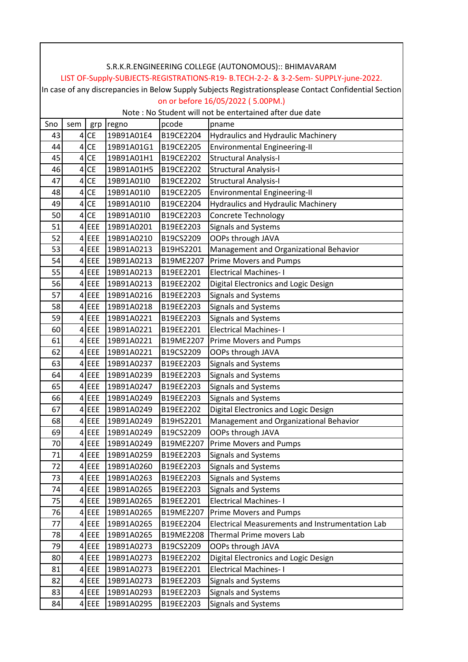|     | S.R.K.R.ENGINEERING COLLEGE (AUTONOMOUS):: BHIMAVARAM                                                  |           |            |           |                                                 |  |  |  |  |  |
|-----|--------------------------------------------------------------------------------------------------------|-----------|------------|-----------|-------------------------------------------------|--|--|--|--|--|
|     | LIST OF-Supply-SUBJECTS-REGISTRATIONS-R19- B.TECH-2-2- & 3-2-Sem- SUPPLY-june-2022.                    |           |            |           |                                                 |  |  |  |  |  |
|     | In case of any discrepancies in Below Supply Subjects Registrationsplease Contact Confidential Section |           |            |           |                                                 |  |  |  |  |  |
|     | on or before 16/05/2022 (5.00PM.)                                                                      |           |            |           |                                                 |  |  |  |  |  |
|     | Note : No Student will not be entertained after due date                                               |           |            |           |                                                 |  |  |  |  |  |
| Sno | sem                                                                                                    | grp       | regno      | pcode     | pname                                           |  |  |  |  |  |
| 43  | $\vert 4 \vert$                                                                                        | CE        | 19B91A01E4 | B19CE2204 | <b>Hydraulics and Hydraulic Machinery</b>       |  |  |  |  |  |
| 44  | $\vert 4 \vert$                                                                                        | <b>CE</b> | 19B91A01G1 | B19CE2205 | <b>Environmental Engineering-II</b>             |  |  |  |  |  |
| 45  | 4 <sup>1</sup>                                                                                         | <b>CE</b> | 19B91A01H1 | B19CE2202 | <b>Structural Analysis-I</b>                    |  |  |  |  |  |
| 46  |                                                                                                        | $4$ CE    | 19B91A01H5 | B19CE2202 | <b>Structural Analysis-I</b>                    |  |  |  |  |  |
| 47  | $\overline{4}$                                                                                         | <b>CE</b> | 19B91A01I0 | B19CE2202 | <b>Structural Analysis-I</b>                    |  |  |  |  |  |
| 48  | $\vert 4 \vert$                                                                                        | <b>CE</b> | 19B91A01I0 | B19CE2205 | Environmental Engineering-II                    |  |  |  |  |  |
| 49  | 4                                                                                                      | CE        | 19B91A01I0 | B19CE2204 | <b>Hydraulics and Hydraulic Machinery</b>       |  |  |  |  |  |
| 50  |                                                                                                        | $4$ CE    | 19B91A01I0 | B19CE2203 | <b>Concrete Technology</b>                      |  |  |  |  |  |
| 51  |                                                                                                        | $4$ EEE   | 19B91A0201 | B19EE2203 | <b>Signals and Systems</b>                      |  |  |  |  |  |
| 52  |                                                                                                        | $4$ EEE   | 19B91A0210 | B19CS2209 | OOPs through JAVA                               |  |  |  |  |  |
| 53  |                                                                                                        | $4$ EEE   | 19B91A0213 | B19HS2201 | Management and Organizational Behavior          |  |  |  |  |  |
| 54  | 4 <sup>1</sup>                                                                                         | EEE       | 19B91A0213 | B19ME2207 | <b>Prime Movers and Pumps</b>                   |  |  |  |  |  |
| 55  |                                                                                                        | $4$ EEE   | 19B91A0213 | B19EE2201 | <b>Electrical Machines-I</b>                    |  |  |  |  |  |
| 56  |                                                                                                        | $4$ EEE   | 19B91A0213 | B19EE2202 | Digital Electronics and Logic Design            |  |  |  |  |  |
| 57  |                                                                                                        | $4$ EEE   | 19B91A0216 | B19EE2203 | Signals and Systems                             |  |  |  |  |  |
| 58  |                                                                                                        | $4$ EEE   | 19B91A0218 | B19EE2203 | <b>Signals and Systems</b>                      |  |  |  |  |  |
| 59  | 4 <sup>1</sup>                                                                                         | EEE       | 19B91A0221 | B19EE2203 | <b>Signals and Systems</b>                      |  |  |  |  |  |
| 60  |                                                                                                        | $4$ EEE   | 19B91A0221 | B19EE2201 | <b>Electrical Machines-I</b>                    |  |  |  |  |  |
| 61  |                                                                                                        | $4$ EEE   | 19B91A0221 | B19ME2207 | <b>Prime Movers and Pumps</b>                   |  |  |  |  |  |
| 62  |                                                                                                        | $4$ EEE   | 19B91A0221 | B19CS2209 | OOPs through JAVA                               |  |  |  |  |  |
| 63  |                                                                                                        | $4$ EEE   | 19B91A0237 | B19EE2203 | <b>Signals and Systems</b>                      |  |  |  |  |  |
| 64  |                                                                                                        | $4$ EEE   | 19B91A0239 | B19EE2203 | Signals and Systems                             |  |  |  |  |  |
| 65  |                                                                                                        | $4$ EEE   | 19B91A0247 | B19EE2203 | <b>Signals and Systems</b>                      |  |  |  |  |  |
| 66  | $\overline{4}$                                                                                         | EEE       | 19B91A0249 | B19EE2203 | <b>Signals and Systems</b>                      |  |  |  |  |  |
| 67  |                                                                                                        | 4 EEE     | 19B91A0249 | B19EE2202 | Digital Electronics and Logic Design            |  |  |  |  |  |
| 68  |                                                                                                        | $4$ EEE   | 19B91A0249 | B19HS2201 | Management and Organizational Behavior          |  |  |  |  |  |
| 69  |                                                                                                        | $4$ EEE   | 19B91A0249 | B19CS2209 | OOPs through JAVA                               |  |  |  |  |  |
| 70  |                                                                                                        | $4$ EEE   | 19B91A0249 | B19ME2207 | <b>Prime Movers and Pumps</b>                   |  |  |  |  |  |
| 71  |                                                                                                        | $4$ EEE   | 19B91A0259 | B19EE2203 | Signals and Systems                             |  |  |  |  |  |
| 72  |                                                                                                        | $4$ EEE   | 19B91A0260 | B19EE2203 | <b>Signals and Systems</b>                      |  |  |  |  |  |
| 73  |                                                                                                        | $4$ EEE   | 19B91A0263 | B19EE2203 | Signals and Systems                             |  |  |  |  |  |
| 74  |                                                                                                        | $4$ EEE   | 19B91A0265 | B19EE2203 | <b>Signals and Systems</b>                      |  |  |  |  |  |
| 75  |                                                                                                        | $4$ EEE   | 19B91A0265 | B19EE2201 | <b>Electrical Machines-I</b>                    |  |  |  |  |  |
| 76  |                                                                                                        | $4$ EEE   | 19B91A0265 | B19ME2207 | <b>Prime Movers and Pumps</b>                   |  |  |  |  |  |
| 77  |                                                                                                        | $4$ EEE   | 19B91A0265 | B19EE2204 | Electrical Measurements and Instrumentation Lab |  |  |  |  |  |
| 78  |                                                                                                        | $4$ EEE   | 19B91A0265 | B19ME2208 | Thermal Prime movers Lab                        |  |  |  |  |  |
| 79  |                                                                                                        | $4$ EEE   | 19B91A0273 | B19CS2209 | OOPs through JAVA                               |  |  |  |  |  |
| 80  |                                                                                                        | $4$ EEE   | 19B91A0273 | B19EE2202 | Digital Electronics and Logic Design            |  |  |  |  |  |
| 81  |                                                                                                        | $4$ EEE   | 19B91A0273 | B19EE2201 | <b>Electrical Machines-I</b>                    |  |  |  |  |  |
| 82  |                                                                                                        | $4$ EEE   | 19B91A0273 | B19EE2203 | <b>Signals and Systems</b>                      |  |  |  |  |  |
| 83  |                                                                                                        | $4$ EEE   | 19B91A0293 | B19EE2203 | <b>Signals and Systems</b>                      |  |  |  |  |  |
| 84  |                                                                                                        | $4$ EEE   | 19B91A0295 | B19EE2203 | <b>Signals and Systems</b>                      |  |  |  |  |  |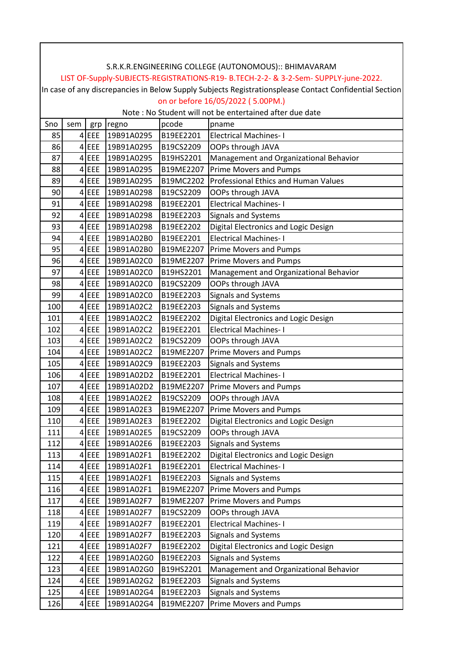|          | S.R.K.R.ENGINEERING COLLEGE (AUTONOMOUS):: BHIMAVARAM                                                                                       |                |                          |                        |                                                                         |  |  |  |  |  |
|----------|---------------------------------------------------------------------------------------------------------------------------------------------|----------------|--------------------------|------------------------|-------------------------------------------------------------------------|--|--|--|--|--|
|          |                                                                                                                                             |                |                          |                        |                                                                         |  |  |  |  |  |
|          | LIST OF-Supply-SUBJECTS-REGISTRATIONS-R19- B.TECH-2-2- & 3-2-Sem- SUPPLY-june-2022.                                                         |                |                          |                        |                                                                         |  |  |  |  |  |
|          | In case of any discrepancies in Below Supply Subjects Registrationsplease Contact Confidential Section<br>on or before 16/05/2022 (5.00PM.) |                |                          |                        |                                                                         |  |  |  |  |  |
|          | Note: No Student will not be entertained after due date                                                                                     |                |                          |                        |                                                                         |  |  |  |  |  |
| Sno      | sem                                                                                                                                         |                |                          | pcode                  |                                                                         |  |  |  |  |  |
| 85       |                                                                                                                                             | grp<br>$4$ EEE | regno<br>19B91A0295      | B19EE2201              | pname<br><b>Electrical Machines-I</b>                                   |  |  |  |  |  |
| 86       | 4 <sup>1</sup>                                                                                                                              | EEE            | 19B91A0295               | B19CS2209              | OOPs through JAVA                                                       |  |  |  |  |  |
| 87       |                                                                                                                                             | $4$ EEE        | 19B91A0295               | B19HS2201              |                                                                         |  |  |  |  |  |
| 88       |                                                                                                                                             | $4$ EEE        | 19B91A0295               | B19ME2207              | Management and Organizational Behavior<br><b>Prime Movers and Pumps</b> |  |  |  |  |  |
| 89       |                                                                                                                                             | $4$ EEE        | 19B91A0295               | B19MC2202              | Professional Ethics and Human Values                                    |  |  |  |  |  |
| 90       |                                                                                                                                             | $4$ EEE        | 19B91A0298               | B19CS2209              | OOPs through JAVA                                                       |  |  |  |  |  |
| 91       | 4 <sup>1</sup>                                                                                                                              | EEE            | 19B91A0298               | B19EE2201              | <b>Electrical Machines-I</b>                                            |  |  |  |  |  |
| 92       |                                                                                                                                             | $4$ EEE        | 19B91A0298               | B19EE2203              |                                                                         |  |  |  |  |  |
|          |                                                                                                                                             | $4$ EEE        |                          |                        | <b>Signals and Systems</b>                                              |  |  |  |  |  |
| 93<br>94 |                                                                                                                                             | $4$ EEE        | 19B91A0298<br>19B91A02B0 | B19EE2202<br>B19EE2201 | Digital Electronics and Logic Design<br><b>Electrical Machines-I</b>    |  |  |  |  |  |
|          |                                                                                                                                             | $4$ EEE        |                          | B19ME2207              |                                                                         |  |  |  |  |  |
| 95       |                                                                                                                                             |                | 19B91A02B0               |                        | <b>Prime Movers and Pumps</b>                                           |  |  |  |  |  |
| 96       | 4 <sup>1</sup>                                                                                                                              | EEE            | 19B91A02C0               | B19ME2207              | <b>Prime Movers and Pumps</b>                                           |  |  |  |  |  |
| 97       |                                                                                                                                             | $4$ EEE        | 19B91A02C0               | B19HS2201              | Management and Organizational Behavior                                  |  |  |  |  |  |
| 98       |                                                                                                                                             | $4$ EEE        | 19B91A02C0               | B19CS2209              | OOPs through JAVA                                                       |  |  |  |  |  |
| 99       |                                                                                                                                             | $4$ EEE        | 19B91A02C0               | B19EE2203              | Signals and Systems                                                     |  |  |  |  |  |
| 100      |                                                                                                                                             | $4$ EEE        | 19B91A02C2               | B19EE2203              | <b>Signals and Systems</b>                                              |  |  |  |  |  |
| 101      | 4 <sup>1</sup>                                                                                                                              | EEE            | 19B91A02C2               | B19EE2202              | Digital Electronics and Logic Design                                    |  |  |  |  |  |
| 102      |                                                                                                                                             | $4$ EEE        | 19B91A02C2               | B19EE2201              | <b>Electrical Machines-I</b>                                            |  |  |  |  |  |
| 103      |                                                                                                                                             | $4$ EEE        | 19B91A02C2               | B19CS2209              | OOPs through JAVA                                                       |  |  |  |  |  |
| 104      |                                                                                                                                             | $4$ EEE        | 19B91A02C2               | B19ME2207              | <b>Prime Movers and Pumps</b>                                           |  |  |  |  |  |
| 105      |                                                                                                                                             | $4$ EEE        | 19B91A02C9               | B19EE2203              | <b>Signals and Systems</b>                                              |  |  |  |  |  |
| 106      |                                                                                                                                             | $4$ EEE        | 19B91A02D2               | B19EE2201              | <b>Electrical Machines-I</b>                                            |  |  |  |  |  |
| 107      |                                                                                                                                             | $4$ EEE        | 19B91A02D2               | B19ME2207              | Prime Movers and Pumps                                                  |  |  |  |  |  |
| 108      | $\vert 4 \vert$                                                                                                                             | EEE            | 19B91A02E2               | B19CS2209              | OOPs through JAVA                                                       |  |  |  |  |  |
| 109      |                                                                                                                                             | 4 EEE          | 19B91A02E3               | B19ME2207              | <b>Prime Movers and Pumps</b>                                           |  |  |  |  |  |
| 110      | 4 <sup>1</sup>                                                                                                                              | <b>EEE</b>     | 19B91A02E3               | B19EE2202              | Digital Electronics and Logic Design                                    |  |  |  |  |  |
| 111      |                                                                                                                                             | $4$ EEE        | 19B91A02E5               | B19CS2209              | OOPs through JAVA                                                       |  |  |  |  |  |
| 112      |                                                                                                                                             | $4$ EEE        | 19B91A02E6               | B19EE2203              | Signals and Systems                                                     |  |  |  |  |  |
| 113      |                                                                                                                                             | $4$ EEE        | 19B91A02F1               | B19EE2202              | Digital Electronics and Logic Design                                    |  |  |  |  |  |
| 114      |                                                                                                                                             | $4$ EEE        | 19B91A02F1               | B19EE2201              | <b>Electrical Machines-I</b>                                            |  |  |  |  |  |
| 115      | 4 <sup>1</sup>                                                                                                                              | EEE            | 19B91A02F1               | B19EE2203              | Signals and Systems                                                     |  |  |  |  |  |
| 116      |                                                                                                                                             | $4$ EEE        | 19B91A02F1               | B19ME2207              | <b>Prime Movers and Pumps</b>                                           |  |  |  |  |  |
| 117      | 4                                                                                                                                           | <b>EEE</b>     | 19B91A02F7               | B19ME2207              | <b>Prime Movers and Pumps</b>                                           |  |  |  |  |  |
| 118      |                                                                                                                                             | $4$ EEE        | 19B91A02F7               | B19CS2209              | OOPs through JAVA                                                       |  |  |  |  |  |
| 119      |                                                                                                                                             | $4$ EEE        | 19B91A02F7               | B19EE2201              | <b>Electrical Machines-I</b>                                            |  |  |  |  |  |
| 120      | 4                                                                                                                                           | EEE            | 19B91A02F7               | B19EE2203              | <b>Signals and Systems</b>                                              |  |  |  |  |  |
| 121      |                                                                                                                                             | $4$ EEE        | 19B91A02F7               | B19EE2202              | Digital Electronics and Logic Design                                    |  |  |  |  |  |
| 122      |                                                                                                                                             | $4$ EEE        | 19B91A02G0               | B19EE2203              | <b>Signals and Systems</b>                                              |  |  |  |  |  |
| 123      |                                                                                                                                             | $4$ EEE        | 19B91A02G0               | B19HS2201              | Management and Organizational Behavior                                  |  |  |  |  |  |
| 124      |                                                                                                                                             | $4$ EEE        | 19B91A02G2               | B19EE2203              | <b>Signals and Systems</b>                                              |  |  |  |  |  |
| 125      |                                                                                                                                             | $4$ EEE        | 19B91A02G4               | B19EE2203              | <b>Signals and Systems</b>                                              |  |  |  |  |  |
| 126      |                                                                                                                                             | $4$ EEE        | 19B91A02G4               | B19ME2207              | <b>Prime Movers and Pumps</b>                                           |  |  |  |  |  |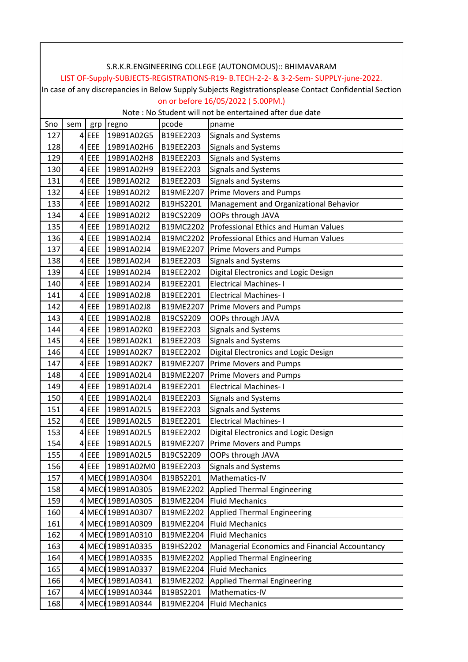| S.R.K.R.ENGINEERING COLLEGE (AUTONOMOUS):: BHIMAVARAM                                                  |                                                                                     |         |                   |           |                                                         |  |  |  |  |  |
|--------------------------------------------------------------------------------------------------------|-------------------------------------------------------------------------------------|---------|-------------------|-----------|---------------------------------------------------------|--|--|--|--|--|
|                                                                                                        | LIST OF-Supply-SUBJECTS-REGISTRATIONS-R19- B.TECH-2-2- & 3-2-Sem- SUPPLY-june-2022. |         |                   |           |                                                         |  |  |  |  |  |
| In case of any discrepancies in Below Supply Subjects Registrationsplease Contact Confidential Section |                                                                                     |         |                   |           |                                                         |  |  |  |  |  |
|                                                                                                        | on or before 16/05/2022 (5.00PM.)                                                   |         |                   |           |                                                         |  |  |  |  |  |
|                                                                                                        |                                                                                     |         |                   |           | Note: No Student will not be entertained after due date |  |  |  |  |  |
| Sno                                                                                                    | sem                                                                                 | grp     | regno             | pcode     | pname                                                   |  |  |  |  |  |
| 127                                                                                                    |                                                                                     | $4$ EEE | 19B91A02G5        | B19EE2203 | <b>Signals and Systems</b>                              |  |  |  |  |  |
| 128                                                                                                    |                                                                                     | $4$ EEE | 19B91A02H6        | B19EE2203 | <b>Signals and Systems</b>                              |  |  |  |  |  |
| 129                                                                                                    |                                                                                     | $4$ EEE | 19B91A02H8        | B19EE2203 | <b>Signals and Systems</b>                              |  |  |  |  |  |
| 130                                                                                                    |                                                                                     | $4$ EEE | 19B91A02H9        | B19EE2203 | <b>Signals and Systems</b>                              |  |  |  |  |  |
| 131                                                                                                    |                                                                                     | $4$ EEE | 19B91A02I2        | B19EE2203 | Signals and Systems                                     |  |  |  |  |  |
| 132                                                                                                    |                                                                                     | $4$ EEE | 19B91A02I2        | B19ME2207 | <b>Prime Movers and Pumps</b>                           |  |  |  |  |  |
| 133                                                                                                    |                                                                                     | $4$ EEE | 19B91A02I2        | B19HS2201 | Management and Organizational Behavior                  |  |  |  |  |  |
| 134                                                                                                    |                                                                                     | $4$ EEE | 19B91A02I2        | B19CS2209 | OOPs through JAVA                                       |  |  |  |  |  |
| 135                                                                                                    |                                                                                     | $4$ EEE | 19B91A02I2        | B19MC2202 | Professional Ethics and Human Values                    |  |  |  |  |  |
| 136                                                                                                    |                                                                                     | $4$ EEE | 19B91A02J4        | B19MC2202 | Professional Ethics and Human Values                    |  |  |  |  |  |
| 137                                                                                                    |                                                                                     | $4$ EEE | 19B91A02J4        | B19ME2207 | Prime Movers and Pumps                                  |  |  |  |  |  |
| 138                                                                                                    |                                                                                     | 4EEE    | 19B91A02J4        | B19EE2203 | <b>Signals and Systems</b>                              |  |  |  |  |  |
| 139                                                                                                    |                                                                                     | $4$ EEE | 19B91A02J4        | B19EE2202 | Digital Electronics and Logic Design                    |  |  |  |  |  |
| 140                                                                                                    |                                                                                     | $4$ EEE | 19B91A02J4        | B19EE2201 | <b>Electrical Machines-I</b>                            |  |  |  |  |  |
| 141                                                                                                    |                                                                                     | $4$ EEE | 19B91A02J8        | B19EE2201 | <b>Electrical Machines-I</b>                            |  |  |  |  |  |
| 142                                                                                                    | $\overline{4}$                                                                      | EEE     | 19B91A02J8        | B19ME2207 | <b>Prime Movers and Pumps</b>                           |  |  |  |  |  |
| 143                                                                                                    |                                                                                     | $4$ EEE | 19B91A02J8        | B19CS2209 | OOPs through JAVA                                       |  |  |  |  |  |
| 144                                                                                                    |                                                                                     | $4$ EEE | 19B91A02K0        | B19EE2203 | <b>Signals and Systems</b>                              |  |  |  |  |  |
| 145                                                                                                    |                                                                                     | $4$ EEE | 19B91A02K1        | B19EE2203 | <b>Signals and Systems</b>                              |  |  |  |  |  |
| 146                                                                                                    |                                                                                     | $4$ EEE | 19B91A02K7        | B19EE2202 | Digital Electronics and Logic Design                    |  |  |  |  |  |
| 147                                                                                                    |                                                                                     | $4$ EEE | 19B91A02K7        | B19ME2207 | <b>Prime Movers and Pumps</b>                           |  |  |  |  |  |
| 148                                                                                                    |                                                                                     | $4$ EEE | 19B91A02L4        | B19ME2207 | <b>Prime Movers and Pumps</b>                           |  |  |  |  |  |
| 149                                                                                                    |                                                                                     | $4$ EEE | 19B91A02L4        | B19EE2201 | <b>Electrical Machines-I</b>                            |  |  |  |  |  |
| 150                                                                                                    |                                                                                     | $4$ EEE | 19B91A02L4        | B19EE2203 | <b>Signals and Systems</b>                              |  |  |  |  |  |
| 151                                                                                                    |                                                                                     | $4$ EEE | 19B91A02L5        | B19EE2203 | <b>Signals and Systems</b>                              |  |  |  |  |  |
| 152                                                                                                    |                                                                                     | $4$ EEE | 19B91A02L5        | B19EE2201 | <b>Electrical Machines-I</b>                            |  |  |  |  |  |
| 153                                                                                                    | 4                                                                                   | EEE     | 19B91A02L5        | B19EE2202 | Digital Electronics and Logic Design                    |  |  |  |  |  |
| 154                                                                                                    |                                                                                     | $4$ EEE | 19B91A02L5        | B19ME2207 | <b>Prime Movers and Pumps</b>                           |  |  |  |  |  |
| 155                                                                                                    |                                                                                     | $4$ EEE | 19B91A02L5        | B19CS2209 | OOPs through JAVA                                       |  |  |  |  |  |
| 156                                                                                                    | 4                                                                                   | EEE     | 19B91A02M0        | B19EE2203 | Signals and Systems                                     |  |  |  |  |  |
| 157                                                                                                    |                                                                                     |         | 4 MECH 19B91A0304 | B19BS2201 | Mathematics-IV                                          |  |  |  |  |  |
| 158                                                                                                    |                                                                                     |         | 4 MEC 19B91A0305  | B19ME2202 | <b>Applied Thermal Engineering</b>                      |  |  |  |  |  |
| 159                                                                                                    |                                                                                     |         | 4 MECH 19B91A0305 | B19ME2204 | <b>Fluid Mechanics</b>                                  |  |  |  |  |  |
| 160                                                                                                    |                                                                                     |         | 4 MEC 19B91A0307  | B19ME2202 | <b>Applied Thermal Engineering</b>                      |  |  |  |  |  |
| 161                                                                                                    |                                                                                     |         | 4 MEC 19B91A0309  | B19ME2204 | <b>Fluid Mechanics</b>                                  |  |  |  |  |  |
| 162                                                                                                    |                                                                                     |         | 4 MECH 19B91A0310 | B19ME2204 | <b>Fluid Mechanics</b>                                  |  |  |  |  |  |
| 163                                                                                                    |                                                                                     |         | 4 MECH 19B91A0335 | B19HS2202 | Managerial Economics and Financial Accountancy          |  |  |  |  |  |
| 164                                                                                                    |                                                                                     |         | 4 MECH 19B91A0335 | B19ME2202 | Applied Thermal Engineering                             |  |  |  |  |  |
| 165                                                                                                    |                                                                                     |         | 4 MEC 19B91A0337  | B19ME2204 | <b>Fluid Mechanics</b>                                  |  |  |  |  |  |
| 166                                                                                                    |                                                                                     |         | 4 MEC 19B91A0341  | B19ME2202 | <b>Applied Thermal Engineering</b>                      |  |  |  |  |  |
| 167                                                                                                    |                                                                                     |         | 4 MECH 19B91A0344 | B19BS2201 | Mathematics-IV                                          |  |  |  |  |  |
| 168                                                                                                    |                                                                                     |         | 4 MEC 19B91A0344  | B19ME2204 | <b>Fluid Mechanics</b>                                  |  |  |  |  |  |
|                                                                                                        |                                                                                     |         |                   |           |                                                         |  |  |  |  |  |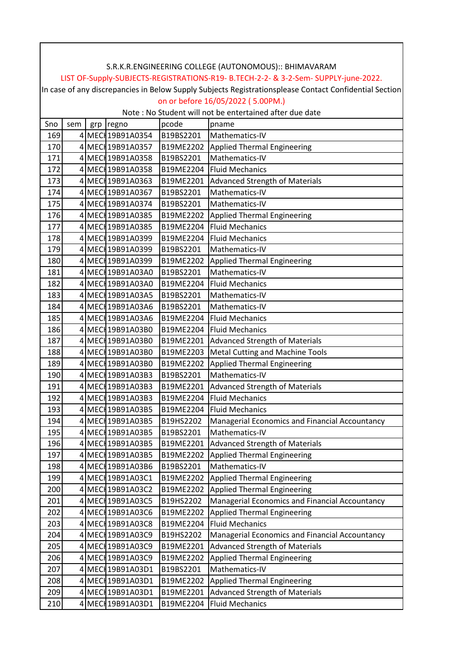|     | S.R.K.R.ENGINEERING COLLEGE (AUTONOMOUS):: BHIMAVARAM                                                  |  |                   |           |                                                         |  |  |  |  |
|-----|--------------------------------------------------------------------------------------------------------|--|-------------------|-----------|---------------------------------------------------------|--|--|--|--|
|     | LIST OF-Supply-SUBJECTS-REGISTRATIONS-R19- B.TECH-2-2- & 3-2-Sem- SUPPLY-june-2022.                    |  |                   |           |                                                         |  |  |  |  |
|     | In case of any discrepancies in Below Supply Subjects Registrationsplease Contact Confidential Section |  |                   |           |                                                         |  |  |  |  |
|     | on or before 16/05/2022 (5.00PM.)                                                                      |  |                   |           |                                                         |  |  |  |  |
|     |                                                                                                        |  |                   |           | Note: No Student will not be entertained after due date |  |  |  |  |
| Sno | sem                                                                                                    |  | grp regno         | pcode     | pname                                                   |  |  |  |  |
| 169 |                                                                                                        |  | 4 MEC 19B91A0354  | B19BS2201 | Mathematics-IV                                          |  |  |  |  |
| 170 |                                                                                                        |  | 4 MEC 19B91A0357  | B19ME2202 | <b>Applied Thermal Engineering</b>                      |  |  |  |  |
| 171 |                                                                                                        |  | 4 MEC 19B91A0358  | B19BS2201 | Mathematics-IV                                          |  |  |  |  |
| 172 |                                                                                                        |  | 4 MEC 19B91A0358  | B19ME2204 | <b>Fluid Mechanics</b>                                  |  |  |  |  |
| 173 |                                                                                                        |  | 4 MEC 19B91A0363  | B19ME2201 | <b>Advanced Strength of Materials</b>                   |  |  |  |  |
| 174 |                                                                                                        |  | 4 MEC 19B91A0367  | B19BS2201 | Mathematics-IV                                          |  |  |  |  |
| 175 |                                                                                                        |  | 4 MEC 19B91A0374  | B19BS2201 | Mathematics-IV                                          |  |  |  |  |
| 176 |                                                                                                        |  | 4 MEC 19B91A0385  | B19ME2202 | <b>Applied Thermal Engineering</b>                      |  |  |  |  |
| 177 |                                                                                                        |  | 4 MEC 19B91A0385  | B19ME2204 | <b>Fluid Mechanics</b>                                  |  |  |  |  |
| 178 |                                                                                                        |  | 4 MEC 19B91A0399  | B19ME2204 | <b>Fluid Mechanics</b>                                  |  |  |  |  |
| 179 |                                                                                                        |  | 4 MECH 19B91A0399 | B19BS2201 | Mathematics-IV                                          |  |  |  |  |
| 180 |                                                                                                        |  | 4 MEC 19B91A0399  | B19ME2202 | Applied Thermal Engineering                             |  |  |  |  |
| 181 |                                                                                                        |  | 4 MECH 19B91A03A0 | B19BS2201 | Mathematics-IV                                          |  |  |  |  |
| 182 |                                                                                                        |  | 4 MECH 19B91A03A0 | B19ME2204 | <b>Fluid Mechanics</b>                                  |  |  |  |  |
| 183 |                                                                                                        |  | 4 MEC 19B91A03A5  | B19BS2201 | Mathematics-IV                                          |  |  |  |  |
| 184 |                                                                                                        |  | 4 MEC 19B91A03A6  | B19BS2201 | Mathematics-IV                                          |  |  |  |  |
| 185 |                                                                                                        |  | 4 MECH 19B91A03A6 | B19ME2204 | <b>Fluid Mechanics</b>                                  |  |  |  |  |
| 186 |                                                                                                        |  | 4 MEC 19B91A03B0  | B19ME2204 | <b>Fluid Mechanics</b>                                  |  |  |  |  |
| 187 |                                                                                                        |  | 4 MEC 19B91A03B0  | B19ME2201 | <b>Advanced Strength of Materials</b>                   |  |  |  |  |
| 188 |                                                                                                        |  | 4 MEC 19B91A03B0  | B19ME2203 | <b>Metal Cutting and Machine Tools</b>                  |  |  |  |  |
| 189 |                                                                                                        |  | 4 MEC 19B91A03B0  | B19ME2202 | <b>Applied Thermal Engineering</b>                      |  |  |  |  |
| 190 |                                                                                                        |  | 4 MEC 19B91A03B3  | B19BS2201 | Mathematics-IV                                          |  |  |  |  |
| 191 |                                                                                                        |  | 4 MEC 19B91A03B3  | B19ME2201 | <b>Advanced Strength of Materials</b>                   |  |  |  |  |
| 192 |                                                                                                        |  | 4 MEC 19B91A03B3  | B19ME2204 | <b>Fluid Mechanics</b>                                  |  |  |  |  |
| 193 |                                                                                                        |  | 4 MECI 19B91A03B5 | B19ME2204 | <b>Fluid Mechanics</b>                                  |  |  |  |  |
| 194 |                                                                                                        |  | 4 MEC 19B91A03B5  | B19HS2202 | Managerial Economics and Financial Accountancy          |  |  |  |  |
| 195 |                                                                                                        |  | 4 MECH 19B91A03B5 | B19BS2201 | Mathematics-IV                                          |  |  |  |  |
| 196 |                                                                                                        |  | 4 MECH 19B91A03B5 | B19ME2201 | <b>Advanced Strength of Materials</b>                   |  |  |  |  |
| 197 |                                                                                                        |  | 4 MEC 19B91A03B5  | B19ME2202 | <b>Applied Thermal Engineering</b>                      |  |  |  |  |
| 198 |                                                                                                        |  | 4 MEC 19B91A03B6  | B19BS2201 | Mathematics-IV                                          |  |  |  |  |
| 199 |                                                                                                        |  | 4 MECH 19B91A03C1 | B19ME2202 | <b>Applied Thermal Engineering</b>                      |  |  |  |  |
| 200 |                                                                                                        |  | 4 MECH 19B91A03C2 | B19ME2202 | <b>Applied Thermal Engineering</b>                      |  |  |  |  |
| 201 |                                                                                                        |  | 4 MEC 19B91A03C5  | B19HS2202 | Managerial Economics and Financial Accountancy          |  |  |  |  |
| 202 |                                                                                                        |  | 4 MECH 19B91A03C6 | B19ME2202 | <b>Applied Thermal Engineering</b>                      |  |  |  |  |
| 203 |                                                                                                        |  | 4 MEC 19B91A03C8  | B19ME2204 | <b>Fluid Mechanics</b>                                  |  |  |  |  |
| 204 |                                                                                                        |  | 4 MECH 19B91A03C9 | B19HS2202 | Managerial Economics and Financial Accountancy          |  |  |  |  |
| 205 |                                                                                                        |  | 4 MECH 19B91A03C9 | B19ME2201 | <b>Advanced Strength of Materials</b>                   |  |  |  |  |
| 206 |                                                                                                        |  | 4 MECH 19B91A03C9 | B19ME2202 | <b>Applied Thermal Engineering</b>                      |  |  |  |  |
| 207 |                                                                                                        |  | 4 MECH 19B91A03D1 | B19BS2201 | Mathematics-IV                                          |  |  |  |  |
| 208 |                                                                                                        |  | 4 MECH 19B91A03D1 | B19ME2202 | <b>Applied Thermal Engineering</b>                      |  |  |  |  |
| 209 |                                                                                                        |  | 4 MEC 19B91A03D1  | B19ME2201 | <b>Advanced Strength of Materials</b>                   |  |  |  |  |
| 210 |                                                                                                        |  | 4 MECH 19B91A03D1 | B19ME2204 | <b>Fluid Mechanics</b>                                  |  |  |  |  |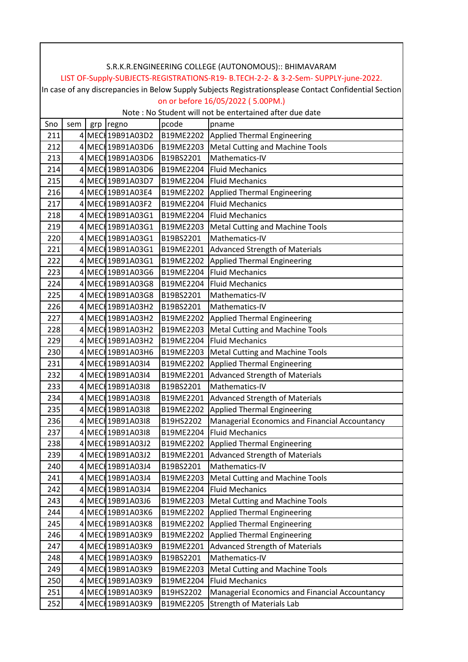|     | S.R.K.R.ENGINEERING COLLEGE (AUTONOMOUS):: BHIMAVARAM                                                  |     |                   |           |                                                          |  |  |  |
|-----|--------------------------------------------------------------------------------------------------------|-----|-------------------|-----------|----------------------------------------------------------|--|--|--|
|     | LIST OF-Supply-SUBJECTS-REGISTRATIONS-R19- B.TECH-2-2- & 3-2-Sem- SUPPLY-june-2022.                    |     |                   |           |                                                          |  |  |  |
|     | In case of any discrepancies in Below Supply Subjects Registrationsplease Contact Confidential Section |     |                   |           |                                                          |  |  |  |
|     | on or before 16/05/2022 (5.00PM.)                                                                      |     |                   |           |                                                          |  |  |  |
|     |                                                                                                        |     |                   |           | Note : No Student will not be entertained after due date |  |  |  |
| Sno | sem                                                                                                    | grp | regno             | pcode     | pname                                                    |  |  |  |
| 211 |                                                                                                        |     | 4 MECH 19B91A03D2 | B19ME2202 | Applied Thermal Engineering                              |  |  |  |
| 212 |                                                                                                        |     | 4 MEC 19B91A03D6  | B19ME2203 | <b>Metal Cutting and Machine Tools</b>                   |  |  |  |
| 213 |                                                                                                        |     | 4 MEC 19B91A03D6  | B19BS2201 | Mathematics-IV                                           |  |  |  |
| 214 |                                                                                                        |     | 4 MEC 19B91A03D6  | B19ME2204 | <b>Fluid Mechanics</b>                                   |  |  |  |
| 215 |                                                                                                        |     | 4 MECI 19B91A03D7 | B19ME2204 | <b>Fluid Mechanics</b>                                   |  |  |  |
| 216 |                                                                                                        |     | 4 MEC 19B91A03E4  | B19ME2202 | <b>Applied Thermal Engineering</b>                       |  |  |  |
| 217 |                                                                                                        |     | 4 MEC 19B91A03F2  | B19ME2204 | <b>Fluid Mechanics</b>                                   |  |  |  |
| 218 |                                                                                                        |     | 4 MECH 19B91A03G1 | B19ME2204 | <b>Fluid Mechanics</b>                                   |  |  |  |
| 219 |                                                                                                        |     | 4 MECH 19B91A03G1 | B19ME2203 | <b>Metal Cutting and Machine Tools</b>                   |  |  |  |
| 220 |                                                                                                        |     | 4 MECH 19B91A03G1 | B19BS2201 | Mathematics-IV                                           |  |  |  |
| 221 |                                                                                                        |     | 4 MEC 19B91A03G1  | B19ME2201 | <b>Advanced Strength of Materials</b>                    |  |  |  |
| 222 |                                                                                                        |     | 4 MEC 19B91A03G1  | B19ME2202 | <b>Applied Thermal Engineering</b>                       |  |  |  |
| 223 |                                                                                                        |     | 4 MEC 19B91A03G6  | B19ME2204 | <b>Fluid Mechanics</b>                                   |  |  |  |
| 224 |                                                                                                        |     | 4 MECH 19B91A03G8 | B19ME2204 | <b>Fluid Mechanics</b>                                   |  |  |  |
| 225 |                                                                                                        |     | 4 MECH 19B91A03G8 | B19BS2201 | Mathematics-IV                                           |  |  |  |
| 226 |                                                                                                        |     | 4 MEC 19B91A03H2  | B19BS2201 | Mathematics-IV                                           |  |  |  |
| 227 |                                                                                                        |     | 4 MEC 19B91A03H2  | B19ME2202 | <b>Applied Thermal Engineering</b>                       |  |  |  |
| 228 |                                                                                                        |     | 4 MEC 19B91A03H2  | B19ME2203 | <b>Metal Cutting and Machine Tools</b>                   |  |  |  |
| 229 |                                                                                                        |     | 4 MEC 19B91A03H2  | B19ME2204 | <b>Fluid Mechanics</b>                                   |  |  |  |
| 230 |                                                                                                        |     | 4 MECH 19B91A03H6 | B19ME2203 | Metal Cutting and Machine Tools                          |  |  |  |
| 231 |                                                                                                        |     | 4 MEC 19B91A0314  | B19ME2202 | <b>Applied Thermal Engineering</b>                       |  |  |  |
| 232 |                                                                                                        |     | 4 MEC 19B91A0314  | B19ME2201 | <b>Advanced Strength of Materials</b>                    |  |  |  |
| 233 |                                                                                                        |     | 4 MECI 19B91A0318 | B19BS2201 | Mathematics-IV                                           |  |  |  |
| 234 |                                                                                                        |     | 4 MEC 19B91A0318  | B19ME2201 | <b>Advanced Strength of Materials</b>                    |  |  |  |
| 235 |                                                                                                        |     | 4 MECI 19B91A0318 | B19ME2202 | <b>Applied Thermal Engineering</b>                       |  |  |  |
| 236 |                                                                                                        |     | 4 MEC 19B91A0318  | B19HS2202 | Managerial Economics and Financial Accountancy           |  |  |  |
| 237 |                                                                                                        |     | 4 MECI 19B91A0318 | B19ME2204 | <b>Fluid Mechanics</b>                                   |  |  |  |
| 238 |                                                                                                        |     | 4 MEC 19B91A03J2  | B19ME2202 | <b>Applied Thermal Engineering</b>                       |  |  |  |
| 239 |                                                                                                        |     | 4 MEC 19B91A03J2  | B19ME2201 | <b>Advanced Strength of Materials</b>                    |  |  |  |
| 240 |                                                                                                        |     | 4 MEC 19B91A03J4  | B19BS2201 | Mathematics-IV                                           |  |  |  |
| 241 |                                                                                                        |     | 4 MEC 19B91A03J4  | B19ME2203 | Metal Cutting and Machine Tools                          |  |  |  |
| 242 |                                                                                                        |     | 4 MEC 19B91A03J4  | B19ME2204 | <b>Fluid Mechanics</b>                                   |  |  |  |
| 243 |                                                                                                        |     | 4 MEC 19B91A03J6  | B19ME2203 | <b>Metal Cutting and Machine Tools</b>                   |  |  |  |
| 244 |                                                                                                        |     | 4 MEC 19B91A03K6  | B19ME2202 | <b>Applied Thermal Engineering</b>                       |  |  |  |
| 245 |                                                                                                        |     | 4 MECH 19B91A03K8 | B19ME2202 | <b>Applied Thermal Engineering</b>                       |  |  |  |
| 246 |                                                                                                        |     | 4 MECH 19B91A03K9 | B19ME2202 | <b>Applied Thermal Engineering</b>                       |  |  |  |
| 247 |                                                                                                        |     | 4 MECH 19B91A03K9 | B19ME2201 | <b>Advanced Strength of Materials</b>                    |  |  |  |
| 248 |                                                                                                        |     | 4 MEC 19B91A03K9  | B19BS2201 | Mathematics-IV                                           |  |  |  |
| 249 |                                                                                                        |     | 4 MECH 19B91A03K9 | B19ME2203 | Metal Cutting and Machine Tools                          |  |  |  |
| 250 |                                                                                                        |     | 4 MECH 19B91A03K9 | B19ME2204 | <b>Fluid Mechanics</b>                                   |  |  |  |
| 251 |                                                                                                        |     | 4 MECH 19B91A03K9 | B19HS2202 | Managerial Economics and Financial Accountancy           |  |  |  |
| 252 |                                                                                                        |     | 4 MEC 19B91A03K9  | B19ME2205 | <b>Strength of Materials Lab</b>                         |  |  |  |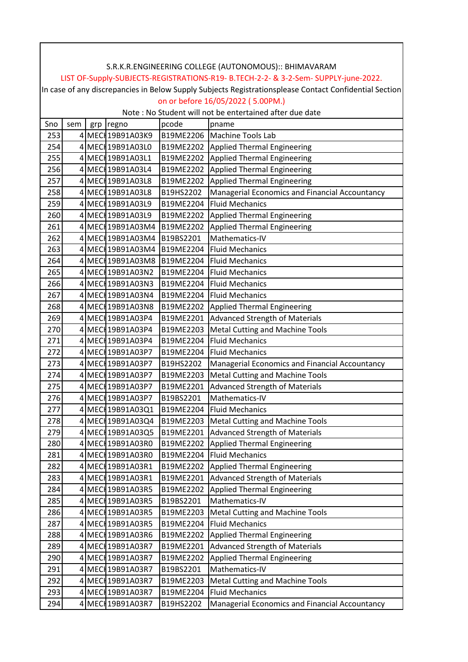|     | S.R.K.R.ENGINEERING COLLEGE (AUTONOMOUS):: BHIMAVARAM                                                  |  |                   |           |                                                         |  |  |  |  |  |
|-----|--------------------------------------------------------------------------------------------------------|--|-------------------|-----------|---------------------------------------------------------|--|--|--|--|--|
|     | LIST OF-Supply-SUBJECTS-REGISTRATIONS-R19- B.TECH-2-2- & 3-2-Sem- SUPPLY-june-2022.                    |  |                   |           |                                                         |  |  |  |  |  |
|     | In case of any discrepancies in Below Supply Subjects Registrationsplease Contact Confidential Section |  |                   |           |                                                         |  |  |  |  |  |
|     | on or before 16/05/2022 (5.00PM.)                                                                      |  |                   |           |                                                         |  |  |  |  |  |
|     |                                                                                                        |  |                   |           | Note: No Student will not be entertained after due date |  |  |  |  |  |
| Sno | sem                                                                                                    |  | grp regno         | pcode     | pname                                                   |  |  |  |  |  |
| 253 |                                                                                                        |  | 4 MEC 19B91A03K9  | B19ME2206 | Machine Tools Lab                                       |  |  |  |  |  |
| 254 |                                                                                                        |  | 4 MEC 19B91A03L0  | B19ME2202 | <b>Applied Thermal Engineering</b>                      |  |  |  |  |  |
| 255 |                                                                                                        |  | 4 MEC 19891A03L1  | B19ME2202 | <b>Applied Thermal Engineering</b>                      |  |  |  |  |  |
| 256 |                                                                                                        |  | 4 MEC 19B91A03L4  | B19ME2202 | <b>Applied Thermal Engineering</b>                      |  |  |  |  |  |
| 257 |                                                                                                        |  | 4 MEC 19B91A03L8  | B19ME2202 | Applied Thermal Engineering                             |  |  |  |  |  |
| 258 |                                                                                                        |  | 4 MEC 19B91A03L8  | B19HS2202 | Managerial Economics and Financial Accountancy          |  |  |  |  |  |
| 259 |                                                                                                        |  | 4 MEC 19B91A03L9  | B19ME2204 | <b>Fluid Mechanics</b>                                  |  |  |  |  |  |
| 260 |                                                                                                        |  | 4 MEC 19B91A03L9  | B19ME2202 | <b>Applied Thermal Engineering</b>                      |  |  |  |  |  |
| 261 |                                                                                                        |  | 4 MEC 19891A03M4  | B19ME2202 | <b>Applied Thermal Engineering</b>                      |  |  |  |  |  |
| 262 |                                                                                                        |  | 4 MECH 19B91A03M4 | B19BS2201 | Mathematics-IV                                          |  |  |  |  |  |
| 263 |                                                                                                        |  | 4 MEC 19891A03M4  | B19ME2204 | <b>Fluid Mechanics</b>                                  |  |  |  |  |  |
| 264 |                                                                                                        |  | 4 MEC 19891A03M8  | B19ME2204 | <b>Fluid Mechanics</b>                                  |  |  |  |  |  |
| 265 |                                                                                                        |  | 4 MECH 19B91A03N2 | B19ME2204 | <b>Fluid Mechanics</b>                                  |  |  |  |  |  |
| 266 |                                                                                                        |  | 4 MEC 19B91A03N3  | B19ME2204 | <b>Fluid Mechanics</b>                                  |  |  |  |  |  |
| 267 |                                                                                                        |  | 4 MEC 19B91A03N4  | B19ME2204 | <b>Fluid Mechanics</b>                                  |  |  |  |  |  |
| 268 |                                                                                                        |  | 4 MEC 19B91A03N8  | B19ME2202 | <b>Applied Thermal Engineering</b>                      |  |  |  |  |  |
| 269 |                                                                                                        |  | 4 MEC 19B91A03P4  | B19ME2201 | <b>Advanced Strength of Materials</b>                   |  |  |  |  |  |
| 270 |                                                                                                        |  | 4 MEC 19B91A03P4  | B19ME2203 | <b>Metal Cutting and Machine Tools</b>                  |  |  |  |  |  |
| 271 |                                                                                                        |  | 4 MEC 19B91A03P4  | B19ME2204 | <b>Fluid Mechanics</b>                                  |  |  |  |  |  |
| 272 |                                                                                                        |  | 4 MEC 19B91A03P7  | B19ME2204 | <b>Fluid Mechanics</b>                                  |  |  |  |  |  |
| 273 |                                                                                                        |  | 4 MEC 19B91A03P7  | B19HS2202 | Managerial Economics and Financial Accountancy          |  |  |  |  |  |
| 274 |                                                                                                        |  | 4 MEC 19B91A03P7  | B19ME2203 | Metal Cutting and Machine Tools                         |  |  |  |  |  |
| 275 |                                                                                                        |  | 4 MEC 19B91A03P7  | B19ME2201 | <b>Advanced Strength of Materials</b>                   |  |  |  |  |  |
| 276 |                                                                                                        |  | 4 MEC 19B91A03P7  | B19BS2201 | Mathematics-IV                                          |  |  |  |  |  |
| 277 |                                                                                                        |  | 4 MECH 19B91A03Q1 | B19ME2204 | <b>Fluid Mechanics</b>                                  |  |  |  |  |  |
| 278 |                                                                                                        |  | 4 MEC 19B91A03Q4  | B19ME2203 | <b>Metal Cutting and Machine Tools</b>                  |  |  |  |  |  |
| 279 |                                                                                                        |  | 4 MEC 19B91A03Q5  | B19ME2201 | <b>Advanced Strength of Materials</b>                   |  |  |  |  |  |
| 280 |                                                                                                        |  | 4 MEC 19B91A03R0  | B19ME2202 | <b>Applied Thermal Engineering</b>                      |  |  |  |  |  |
| 281 |                                                                                                        |  | 4 MECH 19B91A03R0 | B19ME2204 | <b>Fluid Mechanics</b>                                  |  |  |  |  |  |
| 282 |                                                                                                        |  | 4 MEC 19B91A03R1  | B19ME2202 | <b>Applied Thermal Engineering</b>                      |  |  |  |  |  |
| 283 |                                                                                                        |  | 4 MECH 19B91A03R1 | B19ME2201 | <b>Advanced Strength of Materials</b>                   |  |  |  |  |  |
| 284 |                                                                                                        |  | 4 MECH 19B91A03R5 | B19ME2202 | <b>Applied Thermal Engineering</b>                      |  |  |  |  |  |
| 285 |                                                                                                        |  | 4 MECH 19B91A03R5 | B19BS2201 | Mathematics-IV                                          |  |  |  |  |  |
| 286 |                                                                                                        |  | 4 MECH 19B91A03R5 | B19ME2203 | <b>Metal Cutting and Machine Tools</b>                  |  |  |  |  |  |
| 287 |                                                                                                        |  | 4 MEC 19B91A03R5  | B19ME2204 | <b>Fluid Mechanics</b>                                  |  |  |  |  |  |
| 288 |                                                                                                        |  | 4 MEC 19B91A03R6  | B19ME2202 | <b>Applied Thermal Engineering</b>                      |  |  |  |  |  |
| 289 |                                                                                                        |  | 4 MEC 19B91A03R7  | B19ME2201 | <b>Advanced Strength of Materials</b>                   |  |  |  |  |  |
| 290 |                                                                                                        |  | 4 MEC 19B91A03R7  | B19ME2202 | <b>Applied Thermal Engineering</b>                      |  |  |  |  |  |
| 291 |                                                                                                        |  | 4 MEC 19B91A03R7  | B19BS2201 | Mathematics-IV                                          |  |  |  |  |  |
| 292 |                                                                                                        |  | 4 MECH 19B91A03R7 | B19ME2203 | <b>Metal Cutting and Machine Tools</b>                  |  |  |  |  |  |
| 293 |                                                                                                        |  | 4 MECH 19B91A03R7 | B19ME2204 | <b>Fluid Mechanics</b>                                  |  |  |  |  |  |
| 294 |                                                                                                        |  | 4 MECH 19B91A03R7 | B19HS2202 | Managerial Economics and Financial Accountancy          |  |  |  |  |  |
|     |                                                                                                        |  |                   |           |                                                         |  |  |  |  |  |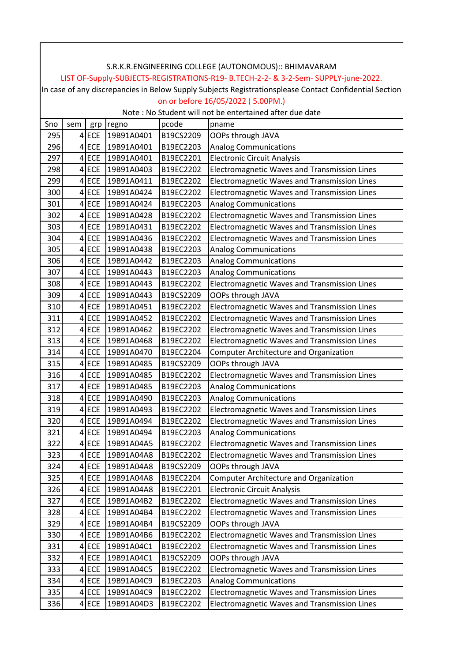|                                                                                                        | S.R.K.R.ENGINEERING COLLEGE (AUTONOMOUS):: BHIMAVARAM                               |         |            |           |                                                         |  |  |  |  |
|--------------------------------------------------------------------------------------------------------|-------------------------------------------------------------------------------------|---------|------------|-----------|---------------------------------------------------------|--|--|--|--|
|                                                                                                        | LIST OF-Supply-SUBJECTS-REGISTRATIONS-R19- B.TECH-2-2- & 3-2-Sem- SUPPLY-june-2022. |         |            |           |                                                         |  |  |  |  |
| In case of any discrepancies in Below Supply Subjects Registrationsplease Contact Confidential Section |                                                                                     |         |            |           |                                                         |  |  |  |  |
|                                                                                                        | on or before 16/05/2022 (5.00PM.)                                                   |         |            |           |                                                         |  |  |  |  |
|                                                                                                        |                                                                                     |         |            |           | Note: No Student will not be entertained after due date |  |  |  |  |
| Sno                                                                                                    | sem                                                                                 | grp     | regno      | pcode     | pname                                                   |  |  |  |  |
| 295                                                                                                    |                                                                                     | $4$ ECE | 19B91A0401 | B19CS2209 | OOPs through JAVA                                       |  |  |  |  |
| 296                                                                                                    |                                                                                     | $4$ ECE | 19B91A0401 | B19EC2203 | <b>Analog Communications</b>                            |  |  |  |  |
| 297                                                                                                    |                                                                                     | $4$ ECE | 19B91A0401 | B19EC2201 | <b>Electronic Circuit Analysis</b>                      |  |  |  |  |
| 298                                                                                                    |                                                                                     | $4$ ECE | 19B91A0403 | B19EC2202 | Electromagnetic Waves and Transmission Lines            |  |  |  |  |
| 299                                                                                                    |                                                                                     | $4$ ECE | 19B91A0411 | B19EC2202 | Electromagnetic Waves and Transmission Lines            |  |  |  |  |
| 300                                                                                                    |                                                                                     | $4$ ECE | 19B91A0424 | B19EC2202 | Electromagnetic Waves and Transmission Lines            |  |  |  |  |
| 301                                                                                                    |                                                                                     | $4$ ECE | 19B91A0424 | B19EC2203 | <b>Analog Communications</b>                            |  |  |  |  |
| 302                                                                                                    |                                                                                     | $4$ ECE | 19B91A0428 | B19EC2202 | Electromagnetic Waves and Transmission Lines            |  |  |  |  |
| 303                                                                                                    |                                                                                     | $4$ ECE | 19B91A0431 | B19EC2202 | Electromagnetic Waves and Transmission Lines            |  |  |  |  |
| 304                                                                                                    |                                                                                     | $4$ ECE | 19B91A0436 | B19EC2202 | Electromagnetic Waves and Transmission Lines            |  |  |  |  |
| 305                                                                                                    |                                                                                     | $4$ ECE | 19B91A0438 | B19EC2203 | <b>Analog Communications</b>                            |  |  |  |  |
| 306                                                                                                    |                                                                                     | $4$ ECE | 19B91A0442 | B19EC2203 | <b>Analog Communications</b>                            |  |  |  |  |
| 307                                                                                                    |                                                                                     | $4$ ECE | 19B91A0443 | B19EC2203 | <b>Analog Communications</b>                            |  |  |  |  |
| 308                                                                                                    |                                                                                     | $4$ ECE | 19B91A0443 | B19EC2202 | Electromagnetic Waves and Transmission Lines            |  |  |  |  |
| 309                                                                                                    |                                                                                     | $4$ ECE | 19B91A0443 | B19CS2209 | OOPs through JAVA                                       |  |  |  |  |
| 310                                                                                                    |                                                                                     | $4$ ECE | 19B91A0451 | B19EC2202 | Electromagnetic Waves and Transmission Lines            |  |  |  |  |
| 311                                                                                                    |                                                                                     | $4$ ECE | 19B91A0452 | B19EC2202 | Electromagnetic Waves and Transmission Lines            |  |  |  |  |
| 312                                                                                                    |                                                                                     | $4$ ECE | 19B91A0462 | B19EC2202 | Electromagnetic Waves and Transmission Lines            |  |  |  |  |
| 313                                                                                                    |                                                                                     | $4$ ECE | 19B91A0468 | B19EC2202 | Electromagnetic Waves and Transmission Lines            |  |  |  |  |
| 314                                                                                                    |                                                                                     | $4$ ECE | 19B91A0470 | B19EC2204 | <b>Computer Architecture and Organization</b>           |  |  |  |  |
| 315                                                                                                    |                                                                                     | $4$ ECE | 19B91A0485 | B19CS2209 | OOPs through JAVA                                       |  |  |  |  |
| 316                                                                                                    |                                                                                     | $4$ ECE | 19B91A0485 | B19EC2202 | Electromagnetic Waves and Transmission Lines            |  |  |  |  |
| 317                                                                                                    |                                                                                     | $4$ ECE | 19B91A0485 | B19EC2203 | <b>Analog Communications</b>                            |  |  |  |  |
| 318                                                                                                    |                                                                                     | $4$ ECE | 19B91A0490 | B19EC2203 | <b>Analog Communications</b>                            |  |  |  |  |
| 319                                                                                                    |                                                                                     | $4$ ECE | 19B91A0493 | B19EC2202 | Electromagnetic Waves and Transmission Lines            |  |  |  |  |
| 320                                                                                                    |                                                                                     | $4$ ECE | 19B91A0494 | B19EC2202 | Electromagnetic Waves and Transmission Lines            |  |  |  |  |
| 321                                                                                                    |                                                                                     | $4$ ECE | 19B91A0494 | B19EC2203 | <b>Analog Communications</b>                            |  |  |  |  |
| 322                                                                                                    |                                                                                     | $4$ ECE | 19B91A04A5 | B19EC2202 | Electromagnetic Waves and Transmission Lines            |  |  |  |  |
| 323                                                                                                    |                                                                                     | $4$ ECE | 19B91A04A8 | B19EC2202 | Electromagnetic Waves and Transmission Lines            |  |  |  |  |
| 324                                                                                                    |                                                                                     | $4$ ECE | 19B91A04A8 | B19CS2209 | OOPs through JAVA                                       |  |  |  |  |
| 325                                                                                                    |                                                                                     | $4$ ECE | 19B91A04A8 | B19EC2204 | <b>Computer Architecture and Organization</b>           |  |  |  |  |
| 326                                                                                                    |                                                                                     | $4$ ECE | 19B91A04A8 | B19EC2201 | <b>Electronic Circuit Analysis</b>                      |  |  |  |  |
| 327                                                                                                    |                                                                                     | $4$ ECE | 19B91A04B2 | B19EC2202 | Electromagnetic Waves and Transmission Lines            |  |  |  |  |
| 328                                                                                                    |                                                                                     | $4$ ECE | 19B91A04B4 | B19EC2202 | Electromagnetic Waves and Transmission Lines            |  |  |  |  |
| 329                                                                                                    |                                                                                     | $4$ ECE | 19B91A04B4 | B19CS2209 | OOPs through JAVA                                       |  |  |  |  |
| 330                                                                                                    |                                                                                     | $4$ ECE | 19B91A04B6 | B19EC2202 | Electromagnetic Waves and Transmission Lines            |  |  |  |  |
| 331                                                                                                    |                                                                                     | $4$ ECE | 19B91A04C1 | B19EC2202 | Electromagnetic Waves and Transmission Lines            |  |  |  |  |
| 332                                                                                                    |                                                                                     | $4$ ECE | 19B91A04C1 | B19CS2209 | OOPs through JAVA                                       |  |  |  |  |
| 333                                                                                                    |                                                                                     | $4$ ECE | 19B91A04C5 | B19EC2202 | Electromagnetic Waves and Transmission Lines            |  |  |  |  |
| 334                                                                                                    |                                                                                     | $4$ ECE | 19B91A04C9 | B19EC2203 | <b>Analog Communications</b>                            |  |  |  |  |
| 335                                                                                                    |                                                                                     | $4$ ECE | 19B91A04C9 | B19EC2202 | Electromagnetic Waves and Transmission Lines            |  |  |  |  |
| 336                                                                                                    |                                                                                     | $4$ ECE | 19B91A04D3 | B19EC2202 | Electromagnetic Waves and Transmission Lines            |  |  |  |  |
|                                                                                                        |                                                                                     |         |            |           |                                                         |  |  |  |  |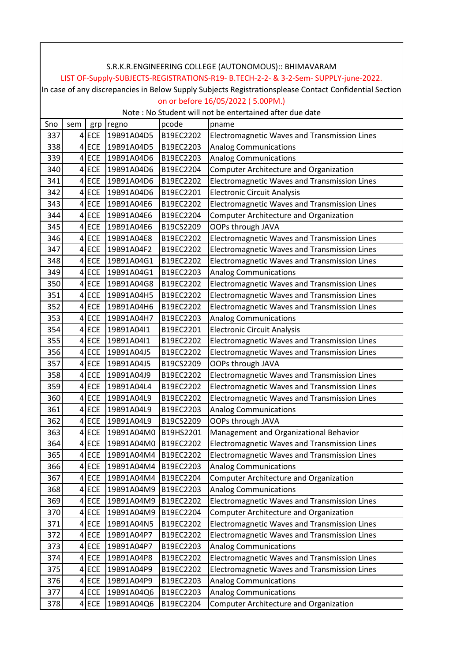|     | S.R.K.R.ENGINEERING COLLEGE (AUTONOMOUS):: BHIMAVARAM                                                  |         |            |           |                                                         |  |  |  |  |
|-----|--------------------------------------------------------------------------------------------------------|---------|------------|-----------|---------------------------------------------------------|--|--|--|--|
|     | LIST OF-Supply-SUBJECTS-REGISTRATIONS-R19- B.TECH-2-2- & 3-2-Sem- SUPPLY-june-2022.                    |         |            |           |                                                         |  |  |  |  |
|     | In case of any discrepancies in Below Supply Subjects Registrationsplease Contact Confidential Section |         |            |           |                                                         |  |  |  |  |
|     | on or before 16/05/2022 (5.00PM.)                                                                      |         |            |           |                                                         |  |  |  |  |
|     |                                                                                                        |         |            |           | Note: No Student will not be entertained after due date |  |  |  |  |
| Sno | sem                                                                                                    | grp     | regno      | pcode     | pname                                                   |  |  |  |  |
| 337 |                                                                                                        | $4$ ECE | 19B91A04D5 | B19EC2202 | Electromagnetic Waves and Transmission Lines            |  |  |  |  |
| 338 |                                                                                                        | $4$ ECE | 19B91A04D5 | B19EC2203 | <b>Analog Communications</b>                            |  |  |  |  |
| 339 |                                                                                                        | $4$ ECE | 19B91A04D6 | B19EC2203 | <b>Analog Communications</b>                            |  |  |  |  |
| 340 |                                                                                                        | $4$ ECE | 19B91A04D6 | B19EC2204 | <b>Computer Architecture and Organization</b>           |  |  |  |  |
| 341 |                                                                                                        | $4$ ECE | 19B91A04D6 | B19EC2202 | Electromagnetic Waves and Transmission Lines            |  |  |  |  |
| 342 |                                                                                                        | $4$ ECE | 19B91A04D6 | B19EC2201 | <b>Electronic Circuit Analysis</b>                      |  |  |  |  |
| 343 |                                                                                                        | $4$ ECE | 19B91A04E6 | B19EC2202 | Electromagnetic Waves and Transmission Lines            |  |  |  |  |
| 344 |                                                                                                        | $4$ ECE | 19B91A04E6 | B19EC2204 | <b>Computer Architecture and Organization</b>           |  |  |  |  |
| 345 |                                                                                                        | $4$ ECE | 19B91A04E6 | B19CS2209 | OOPs through JAVA                                       |  |  |  |  |
| 346 |                                                                                                        | $4$ ECE | 19B91A04E8 | B19EC2202 | Electromagnetic Waves and Transmission Lines            |  |  |  |  |
| 347 |                                                                                                        | $4$ ECE | 19B91A04F2 | B19EC2202 | Electromagnetic Waves and Transmission Lines            |  |  |  |  |
| 348 |                                                                                                        | $4$ ECE | 19B91A04G1 | B19EC2202 | <b>Electromagnetic Waves and Transmission Lines</b>     |  |  |  |  |
| 349 |                                                                                                        | $4$ ECE | 19B91A04G1 | B19EC2203 | <b>Analog Communications</b>                            |  |  |  |  |
| 350 |                                                                                                        | $4$ ECE | 19B91A04G8 | B19EC2202 | Electromagnetic Waves and Transmission Lines            |  |  |  |  |
| 351 |                                                                                                        | $4$ ECE | 19B91A04H5 | B19EC2202 | Electromagnetic Waves and Transmission Lines            |  |  |  |  |
| 352 |                                                                                                        | $4$ ECE | 19B91A04H6 | B19EC2202 | Electromagnetic Waves and Transmission Lines            |  |  |  |  |
| 353 |                                                                                                        | $4$ ECE | 19B91A04H7 | B19EC2203 | <b>Analog Communications</b>                            |  |  |  |  |
| 354 |                                                                                                        | $4$ ECE | 19B91A04I1 | B19EC2201 | <b>Electronic Circuit Analysis</b>                      |  |  |  |  |
| 355 |                                                                                                        | $4$ ECE | 19B91A04I1 | B19EC2202 | Electromagnetic Waves and Transmission Lines            |  |  |  |  |
| 356 |                                                                                                        | $4$ ECE | 19B91A04J5 | B19EC2202 | Electromagnetic Waves and Transmission Lines            |  |  |  |  |
| 357 |                                                                                                        | $4$ ECE | 19B91A04J5 | B19CS2209 | OOPs through JAVA                                       |  |  |  |  |
| 358 |                                                                                                        | $4$ ECE | 19B91A04J9 | B19EC2202 | Electromagnetic Waves and Transmission Lines            |  |  |  |  |
| 359 |                                                                                                        | $4$ ECE | 19B91A04L4 | B19EC2202 | Electromagnetic Waves and Transmission Lines            |  |  |  |  |
| 360 |                                                                                                        | $4$ ECE | 19B91A04L9 | B19EC2202 | Electromagnetic Waves and Transmission Lines            |  |  |  |  |
| 361 |                                                                                                        | $4$ ECE | 19B91A04L9 | B19EC2203 | <b>Analog Communications</b>                            |  |  |  |  |
| 362 |                                                                                                        | $4$ ECE | 19B91A04L9 | B19CS2209 | OOPs through JAVA                                       |  |  |  |  |
| 363 |                                                                                                        | $4$ ECE | 19B91A04M0 | B19HS2201 | Management and Organizational Behavior                  |  |  |  |  |
| 364 |                                                                                                        | $4$ ECE | 19B91A04M0 | B19EC2202 | Electromagnetic Waves and Transmission Lines            |  |  |  |  |
| 365 |                                                                                                        | $4$ ECE | 19B91A04M4 | B19EC2202 | Electromagnetic Waves and Transmission Lines            |  |  |  |  |
| 366 |                                                                                                        | $4$ ECE | 19B91A04M4 | B19EC2203 | <b>Analog Communications</b>                            |  |  |  |  |
| 367 |                                                                                                        | $4$ ECE | 19B91A04M4 | B19EC2204 | <b>Computer Architecture and Organization</b>           |  |  |  |  |
| 368 |                                                                                                        | $4$ ECE | 19B91A04M9 | B19EC2203 | <b>Analog Communications</b>                            |  |  |  |  |
| 369 |                                                                                                        | $4$ ECE | 19B91A04M9 | B19EC2202 | Electromagnetic Waves and Transmission Lines            |  |  |  |  |
| 370 |                                                                                                        | $4$ ECE | 19B91A04M9 | B19EC2204 | Computer Architecture and Organization                  |  |  |  |  |
| 371 |                                                                                                        | $4$ ECE | 19B91A04N5 | B19EC2202 | Electromagnetic Waves and Transmission Lines            |  |  |  |  |
| 372 |                                                                                                        | $4$ ECE | 19B91A04P7 | B19EC2202 | Electromagnetic Waves and Transmission Lines            |  |  |  |  |
| 373 |                                                                                                        | $4$ ECE | 19B91A04P7 | B19EC2203 | <b>Analog Communications</b>                            |  |  |  |  |
| 374 |                                                                                                        | $4$ ECE | 19B91A04P8 | B19EC2202 | Electromagnetic Waves and Transmission Lines            |  |  |  |  |
| 375 |                                                                                                        | $4$ ECE | 19B91A04P9 | B19EC2202 | Electromagnetic Waves and Transmission Lines            |  |  |  |  |
| 376 |                                                                                                        | $4$ ECE | 19B91A04P9 | B19EC2203 | <b>Analog Communications</b>                            |  |  |  |  |
| 377 |                                                                                                        | $4$ ECE | 19B91A04Q6 | B19EC2203 | <b>Analog Communications</b>                            |  |  |  |  |
| 378 |                                                                                                        | $4$ ECE | 19B91A04Q6 | B19EC2204 | <b>Computer Architecture and Organization</b>           |  |  |  |  |
|     |                                                                                                        |         |            |           |                                                         |  |  |  |  |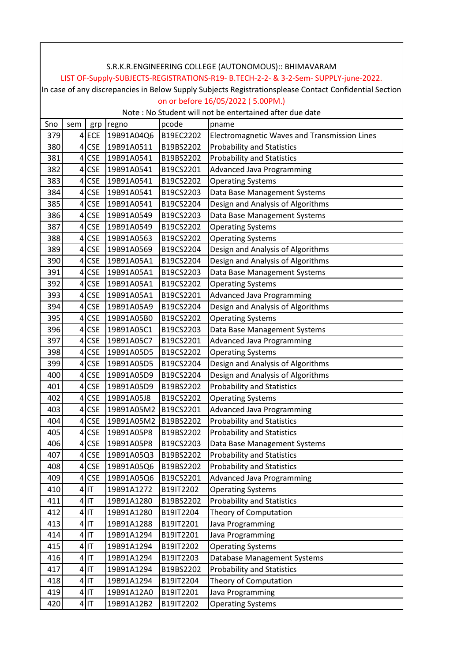|     | S.R.K.R.ENGINEERING COLLEGE (AUTONOMOUS):: BHIMAVARAM<br>LIST OF-Supply-SUBJECTS-REGISTRATIONS-R19- B.TECH-2-2- & 3-2-Sem- SUPPLY-june-2022. |            |            |           |                                              |  |  |  |  |  |
|-----|----------------------------------------------------------------------------------------------------------------------------------------------|------------|------------|-----------|----------------------------------------------|--|--|--|--|--|
|     | In case of any discrepancies in Below Supply Subjects Registrationsplease Contact Confidential Section                                       |            |            |           |                                              |  |  |  |  |  |
|     | on or before 16/05/2022 (5.00PM.)                                                                                                            |            |            |           |                                              |  |  |  |  |  |
|     | Note : No Student will not be entertained after due date                                                                                     |            |            |           |                                              |  |  |  |  |  |
| Sno | sem                                                                                                                                          | grp        | regno      | pcode     | pname                                        |  |  |  |  |  |
| 379 |                                                                                                                                              | $4$ ECE    | 19B91A04Q6 | B19EC2202 | Electromagnetic Waves and Transmission Lines |  |  |  |  |  |
| 380 |                                                                                                                                              | $4$ CSE    | 19B91A0511 | B19BS2202 | <b>Probability and Statistics</b>            |  |  |  |  |  |
| 381 |                                                                                                                                              | $4$ CSE    | 19B91A0541 | B19BS2202 | <b>Probability and Statistics</b>            |  |  |  |  |  |
| 382 |                                                                                                                                              | $4$ CSE    | 19B91A0541 | B19CS2201 | <b>Advanced Java Programming</b>             |  |  |  |  |  |
| 383 |                                                                                                                                              | $4$ CSE    | 19B91A0541 | B19CS2202 | <b>Operating Systems</b>                     |  |  |  |  |  |
| 384 |                                                                                                                                              | $4$ CSE    | 19B91A0541 | B19CS2203 | Data Base Management Systems                 |  |  |  |  |  |
| 385 |                                                                                                                                              | $4$ CSE    | 19B91A0541 | B19CS2204 | Design and Analysis of Algorithms            |  |  |  |  |  |
| 386 |                                                                                                                                              | $4$ CSE    | 19B91A0549 | B19CS2203 | Data Base Management Systems                 |  |  |  |  |  |
| 387 |                                                                                                                                              | $4$ CSE    | 19B91A0549 | B19CS2202 | <b>Operating Systems</b>                     |  |  |  |  |  |
| 388 |                                                                                                                                              | $4$ CSE    | 19B91A0563 | B19CS2202 | <b>Operating Systems</b>                     |  |  |  |  |  |
| 389 |                                                                                                                                              | $4$ CSE    | 19B91A0569 | B19CS2204 | Design and Analysis of Algorithms            |  |  |  |  |  |
| 390 | $\vert 4 \vert$                                                                                                                              | <b>CSE</b> | 19B91A05A1 | B19CS2204 | Design and Analysis of Algorithms            |  |  |  |  |  |
| 391 |                                                                                                                                              | $4$ CSE    | 19B91A05A1 | B19CS2203 | Data Base Management Systems                 |  |  |  |  |  |
| 392 |                                                                                                                                              | $4$ CSE    | 19B91A05A1 | B19CS2202 | <b>Operating Systems</b>                     |  |  |  |  |  |
| 393 |                                                                                                                                              | $4$ CSE    | 19B91A05A1 | B19CS2201 | <b>Advanced Java Programming</b>             |  |  |  |  |  |
| 394 |                                                                                                                                              | $4$ CSE    | 19B91A05A9 | B19CS2204 | Design and Analysis of Algorithms            |  |  |  |  |  |
| 395 |                                                                                                                                              | $4$ CSE    | 19B91A05B0 | B19CS2202 | <b>Operating Systems</b>                     |  |  |  |  |  |
| 396 |                                                                                                                                              | $4$ CSE    | 19B91A05C1 | B19CS2203 | Data Base Management Systems                 |  |  |  |  |  |
| 397 |                                                                                                                                              | $4$ CSE    | 19B91A05C7 | B19CS2201 | <b>Advanced Java Programming</b>             |  |  |  |  |  |
| 398 |                                                                                                                                              | $4$ CSE    | 19B91A05D5 | B19CS2202 | <b>Operating Systems</b>                     |  |  |  |  |  |
| 399 |                                                                                                                                              | $4$ CSE    | 19B91A05D5 | B19CS2204 | Design and Analysis of Algorithms            |  |  |  |  |  |
| 400 |                                                                                                                                              | $4$ CSE    | 19B91A05D9 | B19CS2204 | Design and Analysis of Algorithms            |  |  |  |  |  |
| 401 |                                                                                                                                              | $4$ CSE    | 19B91A05D9 | B19BS2202 | <b>Probability and Statistics</b>            |  |  |  |  |  |
| 402 |                                                                                                                                              | $4$ CSE    | 19B91A05J8 | B19CS2202 | <b>Operating Systems</b>                     |  |  |  |  |  |
| 403 |                                                                                                                                              | $4$ CSE    | 19B91A05M2 | B19CS2201 | Advanced Java Programming                    |  |  |  |  |  |
| 404 |                                                                                                                                              | $4$ CSE    | 19B91A05M2 | B19BS2202 | <b>Probability and Statistics</b>            |  |  |  |  |  |
| 405 |                                                                                                                                              | $4$ CSE    | 19B91A05P8 | B19BS2202 | <b>Probability and Statistics</b>            |  |  |  |  |  |
| 406 | $\vert 4 \vert$                                                                                                                              | <b>CSE</b> | 19B91A05P8 | B19CS2203 | Data Base Management Systems                 |  |  |  |  |  |
| 407 | $\vert$                                                                                                                                      | <b>CSE</b> | 19B91A05Q3 | B19BS2202 | <b>Probability and Statistics</b>            |  |  |  |  |  |
| 408 |                                                                                                                                              | $4$ CSE    | 19B91A05Q6 | B19BS2202 | <b>Probability and Statistics</b>            |  |  |  |  |  |
| 409 |                                                                                                                                              | $4$ CSE    | 19B91A05Q6 | B19CS2201 | <b>Advanced Java Programming</b>             |  |  |  |  |  |
| 410 |                                                                                                                                              | $4$  IT    | 19B91A1272 | B19IT2202 | <b>Operating Systems</b>                     |  |  |  |  |  |
| 411 |                                                                                                                                              | $4$  IT    | 19B91A1280 | B19BS2202 | <b>Probability and Statistics</b>            |  |  |  |  |  |
| 412 |                                                                                                                                              | $4$  IT    | 19B91A1280 | B19IT2204 | Theory of Computation                        |  |  |  |  |  |
| 413 |                                                                                                                                              | $4$  IT    | 19B91A1288 | B19IT2201 | Java Programming                             |  |  |  |  |  |
| 414 |                                                                                                                                              | $4$  IT    | 19B91A1294 | B19IT2201 | Java Programming                             |  |  |  |  |  |
| 415 |                                                                                                                                              | $4$  IT    | 19B91A1294 | B19IT2202 | <b>Operating Systems</b>                     |  |  |  |  |  |
| 416 |                                                                                                                                              | $4$  IT    | 19B91A1294 | B19IT2203 | Database Management Systems                  |  |  |  |  |  |
| 417 |                                                                                                                                              | $4$  IT    | 19B91A1294 | B19BS2202 | <b>Probability and Statistics</b>            |  |  |  |  |  |
| 418 |                                                                                                                                              | $4$  IT    | 19B91A1294 | B19IT2204 | Theory of Computation                        |  |  |  |  |  |
| 419 |                                                                                                                                              | $4$  IT    | 19B91A12A0 | B19IT2201 | Java Programming                             |  |  |  |  |  |
| 420 |                                                                                                                                              | $4$ IT     | 19B91A12B2 | B19IT2202 | <b>Operating Systems</b>                     |  |  |  |  |  |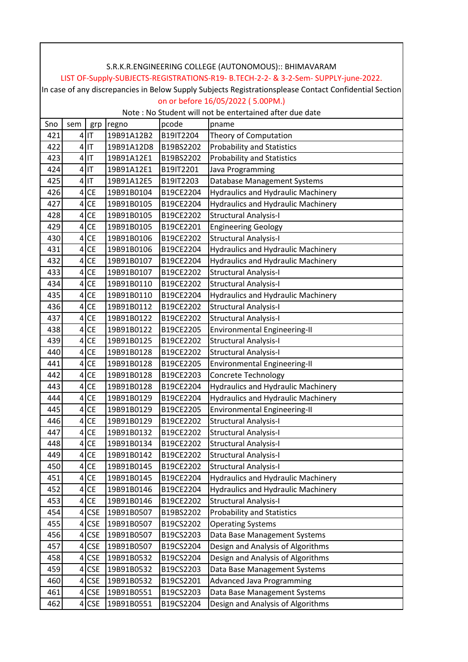|     | S.R.K.R.ENGINEERING COLLEGE (AUTONOMOUS):: BHIMAVARAM                                                  |                              |            |           |                                           |  |  |  |  |  |
|-----|--------------------------------------------------------------------------------------------------------|------------------------------|------------|-----------|-------------------------------------------|--|--|--|--|--|
|     | LIST OF-Supply-SUBJECTS-REGISTRATIONS-R19- B.TECH-2-2- & 3-2-Sem- SUPPLY-june-2022.                    |                              |            |           |                                           |  |  |  |  |  |
|     | In case of any discrepancies in Below Supply Subjects Registrationsplease Contact Confidential Section |                              |            |           |                                           |  |  |  |  |  |
|     | on or before 16/05/2022 (5.00PM.)                                                                      |                              |            |           |                                           |  |  |  |  |  |
|     | Note: No Student will not be entertained after due date                                                |                              |            |           |                                           |  |  |  |  |  |
| Sno | sem                                                                                                    | grp                          | regno      | pcode     | pname                                     |  |  |  |  |  |
| 421 |                                                                                                        | $4$  IT                      | 19B91A12B2 | B19IT2204 | Theory of Computation                     |  |  |  |  |  |
| 422 |                                                                                                        | $4$  IT                      | 19B91A12D8 | B19BS2202 | <b>Probability and Statistics</b>         |  |  |  |  |  |
| 423 |                                                                                                        | $4$  IT                      | 19B91A12E1 | B19BS2202 | <b>Probability and Statistics</b>         |  |  |  |  |  |
| 424 |                                                                                                        | $4$ IT                       | 19B91A12E1 | B19IT2201 | Java Programming                          |  |  |  |  |  |
| 425 |                                                                                                        | $4$  IT                      | 19B91A12E5 | B19IT2203 | Database Management Systems               |  |  |  |  |  |
| 426 | $\vert 4 \vert$                                                                                        | <b>CE</b>                    | 19B91B0104 | B19CE2204 | <b>Hydraulics and Hydraulic Machinery</b> |  |  |  |  |  |
| 427 | $\vert 4 \vert$                                                                                        | <b>CE</b>                    | 19B91B0105 | B19CE2204 | <b>Hydraulics and Hydraulic Machinery</b> |  |  |  |  |  |
| 428 | 4 <sup>1</sup>                                                                                         | <b>CE</b>                    | 19B91B0105 | B19CE2202 | <b>Structural Analysis-I</b>              |  |  |  |  |  |
| 429 |                                                                                                        | $4$ CE                       | 19B91B0105 | B19CE2201 | <b>Engineering Geology</b>                |  |  |  |  |  |
| 430 | 4                                                                                                      | <b>CE</b>                    | 19B91B0106 | B19CE2202 | <b>Structural Analysis-I</b>              |  |  |  |  |  |
| 431 | 4 <sup>1</sup>                                                                                         | CE                           | 19B91B0106 | B19CE2204 | <b>Hydraulics and Hydraulic Machinery</b> |  |  |  |  |  |
| 432 | $\overline{4}$                                                                                         | <b>CE</b>                    | 19B91B0107 | B19CE2204 | Hydraulics and Hydraulic Machinery        |  |  |  |  |  |
| 433 | $\vert$                                                                                                | <b>CE</b>                    | 19B91B0107 | B19CE2202 | <b>Structural Analysis-I</b>              |  |  |  |  |  |
| 434 |                                                                                                        | $4$ CE                       | 19B91B0110 | B19CE2202 | <b>Structural Analysis-I</b>              |  |  |  |  |  |
| 435 | 4 <sup>1</sup>                                                                                         | <b>CE</b>                    | 19B91B0110 | B19CE2204 | <b>Hydraulics and Hydraulic Machinery</b> |  |  |  |  |  |
| 436 | $\vert 4 \vert$                                                                                        | CE                           | 19B91B0112 | B19CE2202 | <b>Structural Analysis-I</b>              |  |  |  |  |  |
| 437 | $\vert 4 \vert$                                                                                        | <b>CE</b>                    | 19B91B0122 | B19CE2202 | <b>Structural Analysis-I</b>              |  |  |  |  |  |
| 438 |                                                                                                        | $4$ CE                       | 19B91B0122 | B19CE2205 | Environmental Engineering-II              |  |  |  |  |  |
| 439 | $\overline{4}$                                                                                         | <b>CE</b>                    | 19B91B0125 | B19CE2202 | <b>Structural Analysis-I</b>              |  |  |  |  |  |
| 440 | 4 <sup>1</sup>                                                                                         | <b>CE</b>                    | 19B91B0128 | B19CE2202 | Structural Analysis-I                     |  |  |  |  |  |
| 441 | 4 <sup>1</sup>                                                                                         | <b>CE</b>                    | 19B91B0128 | B19CE2205 | Environmental Engineering-II              |  |  |  |  |  |
| 442 | $\vert 4 \vert$                                                                                        | CE                           | 19B91B0128 | B19CE2203 | <b>Concrete Technology</b>                |  |  |  |  |  |
| 443 |                                                                                                        | $4$ CE                       | 19B91B0128 | B19CE2204 | <b>Hydraulics and Hydraulic Machinery</b> |  |  |  |  |  |
| 444 | 4                                                                                                      | <b>CE</b>                    | 19B91B0129 | B19CE2204 | <b>Hydraulics and Hydraulic Machinery</b> |  |  |  |  |  |
| 445 | $\vert$                                                                                                | <b>CE</b>                    | 19B91B0129 | B19CE2205 | Environmental Engineering-II              |  |  |  |  |  |
| 446 | $\vert 4 \vert$                                                                                        | <b>CE</b>                    | 19B91B0129 | B19CE2202 | <b>Structural Analysis-I</b>              |  |  |  |  |  |
| 447 | 4                                                                                                      | <b>CE</b>                    | 19B91B0132 | B19CE2202 | <b>Structural Analysis-I</b>              |  |  |  |  |  |
| 448 | $\vert 4 \vert$                                                                                        | $\mathsf{CE}\hspace{0.01in}$ | 19B91B0134 | B19CE2202 | <b>Structural Analysis-I</b>              |  |  |  |  |  |
| 449 | $\vert 4 \vert$                                                                                        | CE                           | 19B91B0142 | B19CE2202 | <b>Structural Analysis-I</b>              |  |  |  |  |  |
| 450 |                                                                                                        | $4$ CE                       | 19B91B0145 | B19CE2202 | <b>Structural Analysis-I</b>              |  |  |  |  |  |
| 451 | $\vert 4 \vert$                                                                                        | CE                           | 19B91B0145 | B19CE2204 | <b>Hydraulics and Hydraulic Machinery</b> |  |  |  |  |  |
| 452 | $\vert 4 \vert$                                                                                        | <b>CE</b>                    | 19B91B0146 | B19CE2204 | <b>Hydraulics and Hydraulic Machinery</b> |  |  |  |  |  |
| 453 | $\vert$                                                                                                | CE                           | 19B91B0146 | B19CE2202 | <b>Structural Analysis-I</b>              |  |  |  |  |  |
| 454 |                                                                                                        | $4$ CSE                      | 19B91B0507 | B19BS2202 | <b>Probability and Statistics</b>         |  |  |  |  |  |
| 455 |                                                                                                        | $4$ CSE                      | 19B91B0507 | B19CS2202 | <b>Operating Systems</b>                  |  |  |  |  |  |
| 456 | 4                                                                                                      | <b>CSE</b>                   | 19B91B0507 | B19CS2203 | Data Base Management Systems              |  |  |  |  |  |
| 457 | 4 <sup>1</sup>                                                                                         | <b>CSE</b>                   | 19B91B0507 | B19CS2204 | Design and Analysis of Algorithms         |  |  |  |  |  |
| 458 | 4                                                                                                      | <b>CSE</b>                   | 19B91B0532 | B19CS2204 | Design and Analysis of Algorithms         |  |  |  |  |  |
| 459 | $\vert$                                                                                                | <b>CSE</b>                   | 19B91B0532 | B19CS2203 | Data Base Management Systems              |  |  |  |  |  |
| 460 |                                                                                                        | $4$ CSE                      | 19B91B0532 | B19CS2201 | <b>Advanced Java Programming</b>          |  |  |  |  |  |
| 461 |                                                                                                        | $4$ CSE                      | 19B91B0551 | B19CS2203 | Data Base Management Systems              |  |  |  |  |  |
| 462 |                                                                                                        | $4$ CSE                      | 19B91B0551 | B19CS2204 | Design and Analysis of Algorithms         |  |  |  |  |  |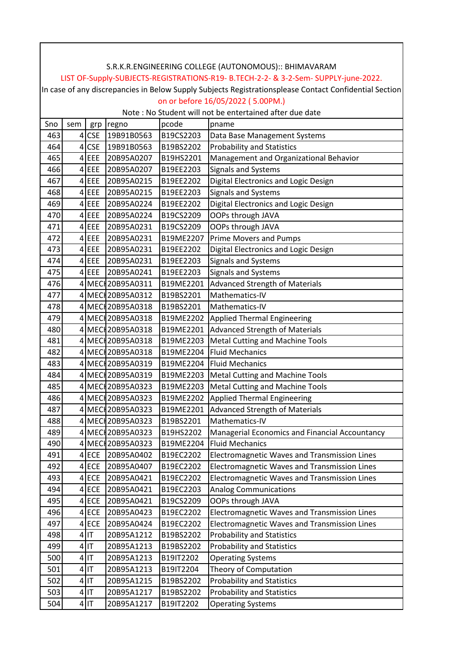|            | S.R.K.R.ENGINEERING COLLEGE (AUTONOMOUS):: BHIMAVARAM                                                  |            |                                |                        |                                                                             |  |  |  |  |
|------------|--------------------------------------------------------------------------------------------------------|------------|--------------------------------|------------------------|-----------------------------------------------------------------------------|--|--|--|--|
|            | LIST OF-Supply-SUBJECTS-REGISTRATIONS-R19- B.TECH-2-2- & 3-2-Sem- SUPPLY-june-2022.                    |            |                                |                        |                                                                             |  |  |  |  |
|            | In case of any discrepancies in Below Supply Subjects Registrationsplease Contact Confidential Section |            |                                |                        |                                                                             |  |  |  |  |
|            | on or before 16/05/2022 (5.00PM.)                                                                      |            |                                |                        |                                                                             |  |  |  |  |
|            |                                                                                                        |            |                                |                        | Note : No Student will not be entertained after due date                    |  |  |  |  |
| Sno        | sem                                                                                                    | grp        | regno                          | pcode                  | pname                                                                       |  |  |  |  |
| 463        |                                                                                                        | $4$ CSE    | 19B91B0563                     | B19CS2203              | Data Base Management Systems                                                |  |  |  |  |
| 464        | $\vert 4 \vert$                                                                                        | <b>CSE</b> | 19B91B0563                     | B19BS2202              | <b>Probability and Statistics</b>                                           |  |  |  |  |
| 465        |                                                                                                        | $4$ EEE    | 20B95A0207                     | B19HS2201              | Management and Organizational Behavior                                      |  |  |  |  |
| 466        |                                                                                                        | $4$ EEE    | 20B95A0207                     | B19EE2203              | <b>Signals and Systems</b>                                                  |  |  |  |  |
| 467        |                                                                                                        | $4$ EEE    | 20B95A0215                     | B19EE2202              | Digital Electronics and Logic Design                                        |  |  |  |  |
| 468        |                                                                                                        | $4$ EEE    | 20B95A0215                     | B19EE2203              | <b>Signals and Systems</b>                                                  |  |  |  |  |
| 469        |                                                                                                        | $4$ EEE    | 20B95A0224                     | B19EE2202              | Digital Electronics and Logic Design                                        |  |  |  |  |
| 470        |                                                                                                        | $4$ EEE    | 20B95A0224                     | B19CS2209              | OOPs through JAVA                                                           |  |  |  |  |
| 471        |                                                                                                        | $4$ EEE    | 20B95A0231                     | B19CS2209              | OOPs through JAVA                                                           |  |  |  |  |
| 472        |                                                                                                        | $4$ EEE    | 20B95A0231                     | B19ME2207              | Prime Movers and Pumps                                                      |  |  |  |  |
| 473        |                                                                                                        | $4$ EEE    | 20B95A0231                     | B19EE2202              | Digital Electronics and Logic Design                                        |  |  |  |  |
| 474        |                                                                                                        | $4$ EEE    | 20B95A0231                     | B19EE2203              | <b>Signals and Systems</b>                                                  |  |  |  |  |
| 475<br>476 |                                                                                                        | $4$ EEE    | 20B95A0241<br>4 MEC 20B95A0311 | B19EE2203<br>B19ME2201 | <b>Signals and Systems</b>                                                  |  |  |  |  |
| 477        |                                                                                                        |            | 4 MEC 20B95A0312               | B19BS2201              | <b>Advanced Strength of Materials</b><br>Mathematics-IV                     |  |  |  |  |
| 478        |                                                                                                        |            | 4 MEC 20B95A0318               | B19BS2201              | Mathematics-IV                                                              |  |  |  |  |
| 479        |                                                                                                        |            | 4 MEC 20B95A0318               | B19ME2202              |                                                                             |  |  |  |  |
| 480        |                                                                                                        |            | 4 MEC 20B95A0318               | B19ME2201              | <b>Applied Thermal Engineering</b><br><b>Advanced Strength of Materials</b> |  |  |  |  |
| 481        |                                                                                                        |            | 4 MEC 20B95A0318               | B19ME2203              | <b>Metal Cutting and Machine Tools</b>                                      |  |  |  |  |
| 482        |                                                                                                        |            | 4 MEC 20B95A0318               | B19ME2204              | <b>Fluid Mechanics</b>                                                      |  |  |  |  |
| 483        |                                                                                                        |            | 4 MEC 20B95A0319               | B19ME2204              | <b>Fluid Mechanics</b>                                                      |  |  |  |  |
| 484        |                                                                                                        |            | 4 MEC 20B95A0319               | B19ME2203              | Metal Cutting and Machine Tools                                             |  |  |  |  |
| 485        |                                                                                                        |            | 4 MEC 20B95A0323               | B19ME2203              | <b>Metal Cutting and Machine Tools</b>                                      |  |  |  |  |
| 486        |                                                                                                        |            | 4 MEC 20B95A0323               | B19ME2202              | <b>Applied Thermal Engineering</b>                                          |  |  |  |  |
| 487        |                                                                                                        |            | 4 MEC 20B95A0323               | B19ME2201              | <b>Advanced Strength of Materials</b>                                       |  |  |  |  |
| 488        |                                                                                                        |            | 4 MEC 20B95A0323               | B19BS2201              | Mathematics-IV                                                              |  |  |  |  |
| 489        |                                                                                                        |            | 4 MEC 20B95A0323               | B19HS2202              | Managerial Economics and Financial Accountancy                              |  |  |  |  |
| 490        |                                                                                                        |            | 4 MEC 20B95A0323               | B19ME2204              | <b>Fluid Mechanics</b>                                                      |  |  |  |  |
| 491        |                                                                                                        | $4$ ECE    | 20B95A0402                     | B19EC2202              | Electromagnetic Waves and Transmission Lines                                |  |  |  |  |
| 492        |                                                                                                        | $4$ ECE    | 20B95A0407                     | B19EC2202              | Electromagnetic Waves and Transmission Lines                                |  |  |  |  |
| 493        |                                                                                                        | $4$ ECE    | 20B95A0421                     | B19EC2202              | Electromagnetic Waves and Transmission Lines                                |  |  |  |  |
| 494        |                                                                                                        | $4$ ECE    | 20B95A0421                     | B19EC2203              | <b>Analog Communications</b>                                                |  |  |  |  |
| 495        |                                                                                                        | $4$ ECE    | 20B95A0421                     | B19CS2209              | OOPs through JAVA                                                           |  |  |  |  |
| 496        |                                                                                                        | $4$ ECE    | 20B95A0423                     | B19EC2202              | Electromagnetic Waves and Transmission Lines                                |  |  |  |  |
| 497        |                                                                                                        | $4$ ECE    | 20B95A0424                     | B19EC2202              | Electromagnetic Waves and Transmission Lines                                |  |  |  |  |
| 498        |                                                                                                        | $4$  IT    | 20B95A1212                     | B19BS2202              | <b>Probability and Statistics</b>                                           |  |  |  |  |
| 499        |                                                                                                        | $4$  IT    | 20B95A1213                     | B19BS2202              | <b>Probability and Statistics</b>                                           |  |  |  |  |
| 500        |                                                                                                        | $4$  IT    | 20B95A1213                     | B19IT2202              | <b>Operating Systems</b>                                                    |  |  |  |  |
| 501        |                                                                                                        | $4$  IT    | 20B95A1213                     | B19IT2204              | Theory of Computation                                                       |  |  |  |  |
| 502        |                                                                                                        | $4$  IT    | 20B95A1215                     | B19BS2202              | <b>Probability and Statistics</b>                                           |  |  |  |  |
| 503        |                                                                                                        | $4$  IT    | 20B95A1217                     | B19BS2202              | <b>Probability and Statistics</b>                                           |  |  |  |  |
| 504        |                                                                                                        | $4$  IT    | 20B95A1217                     | B19IT2202              | <b>Operating Systems</b>                                                    |  |  |  |  |